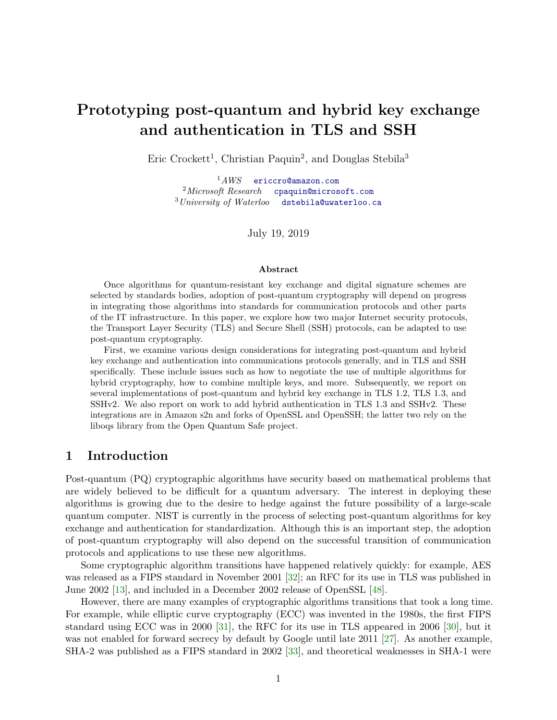# Prototyping post-quantum and hybrid key exchange and authentication in TLS and SSH

Eric Crockett<sup>1</sup>, Christian Paquin<sup>2</sup>, and Douglas Stebila<sup>3</sup>

 $1AWS$  [ericcro@amazon.com](mailto:ericcro@amazon.com)  $2$ Microsoft Research [cpaquin@microsoft.com](mailto:cpaquin@microsoft.com)  $3$ University of Waterloo [dstebila@uwaterloo.ca](mailto:dstebila@uwaterloo.ca)

July 19, 2019

#### Abstract

Once algorithms for quantum-resistant key exchange and digital signature schemes are selected by standards bodies, adoption of post-quantum cryptography will depend on progress in integrating those algorithms into standards for communication protocols and other parts of the IT infrastructure. In this paper, we explore how two major Internet security protocols, the Transport Layer Security (TLS) and Secure Shell (SSH) protocols, can be adapted to use post-quantum cryptography.

First, we examine various design considerations for integrating post-quantum and hybrid key exchange and authentication into communications protocols generally, and in TLS and SSH specifically. These include issues such as how to negotiate the use of multiple algorithms for hybrid cryptography, how to combine multiple keys, and more. Subsequently, we report on several implementations of post-quantum and hybrid key exchange in TLS 1.2, TLS 1.3, and SSHv2. We also report on work to add hybrid authentication in TLS 1.3 and SSHv2. These integrations are in Amazon s2n and forks of OpenSSL and OpenSSH; the latter two rely on the liboqs library from the Open Quantum Safe project.

#### 1 Introduction

Post-quantum (PQ) cryptographic algorithms have security based on mathematical problems that are widely believed to be difficult for a quantum adversary. The interest in deploying these algorithms is growing due to the desire to hedge against the future possibility of a large-scale quantum computer. NIST is currently in the process of selecting post-quantum algorithms for key exchange and authentication for standardization. Although this is an important step, the adoption of post-quantum cryptography will also depend on the successful transition of communication protocols and applications to use these new algorithms.

Some cryptographic algorithm transitions have happened relatively quickly: for example, AES was released as a FIPS standard in November 2001 [\[32\]](#page-22-0); an RFC for its use in TLS was published in June 2002 [\[13\]](#page-21-0), and included in a December 2002 release of OpenSSL [\[48\]](#page-23-0).

However, there are many examples of cryptographic algorithms transitions that took a long time. For example, while elliptic curve cryptography (ECC) was invented in the 1980s, the first FIPS standard using ECC was in 2000 [\[31\]](#page-22-1), the RFC for its use in TLS appeared in 2006 [\[30\]](#page-22-2), but it was not enabled for forward secrecy by default by Google until late 2011 [\[27\]](#page-22-3). As another example, SHA-2 was published as a FIPS standard in 2002 [\[33\]](#page-22-4), and theoretical weaknesses in SHA-1 were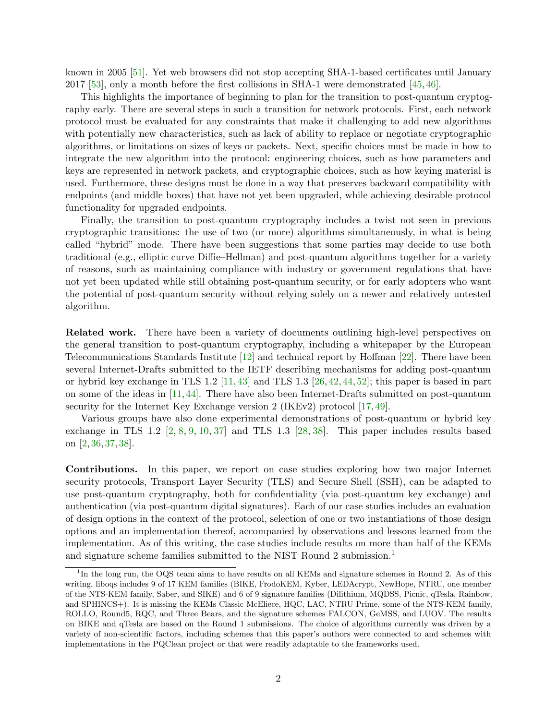known in 2005 [\[51\]](#page-23-1). Yet web browsers did not stop accepting SHA-1-based certificates until January 2017 [\[53\]](#page-23-2), only a month before the first collisions in SHA-1 were demonstrated [\[45,](#page-23-3) [46\]](#page-23-4).

This highlights the importance of beginning to plan for the transition to post-quantum cryptography early. There are several steps in such a transition for network protocols. First, each network protocol must be evaluated for any constraints that make it challenging to add new algorithms with potentially new characteristics, such as lack of ability to replace or negotiate cryptographic algorithms, or limitations on sizes of keys or packets. Next, specific choices must be made in how to integrate the new algorithm into the protocol: engineering choices, such as how parameters and keys are represented in network packets, and cryptographic choices, such as how keying material is used. Furthermore, these designs must be done in a way that preserves backward compatibility with endpoints (and middle boxes) that have not yet been upgraded, while achieving desirable protocol functionality for upgraded endpoints.

Finally, the transition to post-quantum cryptography includes a twist not seen in previous cryptographic transitions: the use of two (or more) algorithms simultaneously, in what is being called "hybrid" mode. There have been suggestions that some parties may decide to use both traditional (e.g., elliptic curve Diffie–Hellman) and post-quantum algorithms together for a variety of reasons, such as maintaining compliance with industry or government regulations that have not yet been updated while still obtaining post-quantum security, or for early adopters who want the potential of post-quantum security without relying solely on a newer and relatively untested algorithm.

Related work. There have been a variety of documents outlining high-level perspectives on the general transition to post-quantum cryptography, including a whitepaper by the European Telecommunications Standards Institute [\[12\]](#page-21-1) and technical report by Hoffman [\[22\]](#page-22-5). There have been several Internet-Drafts submitted to the IETF describing mechanisms for adding post-quantum or hybrid key exchange in TLS 1.2  $[11, 43]$  $[11, 43]$  $[11, 43]$  and TLS 1.3  $[26, 42, 44, 52]$  $[26, 42, 44, 52]$  $[26, 42, 44, 52]$  $[26, 42, 44, 52]$  $[26, 42, 44, 52]$  $[26, 42, 44, 52]$  $[26, 42, 44, 52]$ ; this paper is based in part on some of the ideas in [\[11,](#page-21-2) [44\]](#page-23-7). There have also been Internet-Drafts submitted on post-quantum security for the Internet Key Exchange version 2 (IKEv2) protocol  $[17, 49]$  $[17, 49]$  $[17, 49]$ .

Various groups have also done experimental demonstrations of post-quantum or hybrid key exchange in TLS 1.2  $\left[2, 8, 9, 10, 37\right]$  $\left[2, 8, 9, 10, 37\right]$  $\left[2, 8, 9, 10, 37\right]$  $\left[2, 8, 9, 10, 37\right]$  $\left[2, 8, 9, 10, 37\right]$  $\left[2, 8, 9, 10, 37\right]$  $\left[2, 8, 9, 10, 37\right]$  $\left[2, 8, 9, 10, 37\right]$  $\left[2, 8, 9, 10, 37\right]$  and TLS 1.3  $\left[28, 38\right]$  $\left[28, 38\right]$  $\left[28, 38\right]$ . This paper includes results based on [\[2,](#page-20-0) [36,](#page-22-10) [37,](#page-22-7) [38\]](#page-22-9).

Contributions. In this paper, we report on case studies exploring how two major Internet security protocols, Transport Layer Security (TLS) and Secure Shell (SSH), can be adapted to use post-quantum cryptography, both for confidentiality (via post-quantum key exchange) and authentication (via post-quantum digital signatures). Each of our case studies includes an evaluation of design options in the context of the protocol, selection of one or two instantiations of those design options and an implementation thereof, accompanied by observations and lessons learned from the implementation. As of this writing, the case studies include results on more than half of the KEMs and signature scheme families submitted to the NIST Round 2 submission.[1](#page-1-0)

<span id="page-1-0"></span><sup>&</sup>lt;sup>1</sup>In the long run, the OQS team aims to have results on all KEMs and signature schemes in Round 2. As of this writing, liboqs includes 9 of 17 KEM families (BIKE, FrodoKEM, Kyber, LEDAcrypt, NewHope, NTRU, one member of the NTS-KEM family, Saber, and SIKE) and 6 of 9 signature families (Dilithium, MQDSS, Picnic, qTesla, Rainbow, and SPHINCS+). It is missing the KEMs Classic McEliece, HQC, LAC, NTRU Prime, some of the NTS-KEM family, ROLLO, Round5, RQC, and Three Bears, and the signature schemes FALCON, GeMSS, and LUOV. The results on BIKE and qTesla are based on the Round 1 submissions. The choice of algorithms currently was driven by a variety of non-scientific factors, including schemes that this paper's authors were connected to and schemes with implementations in the PQClean project or that were readily adaptable to the frameworks used.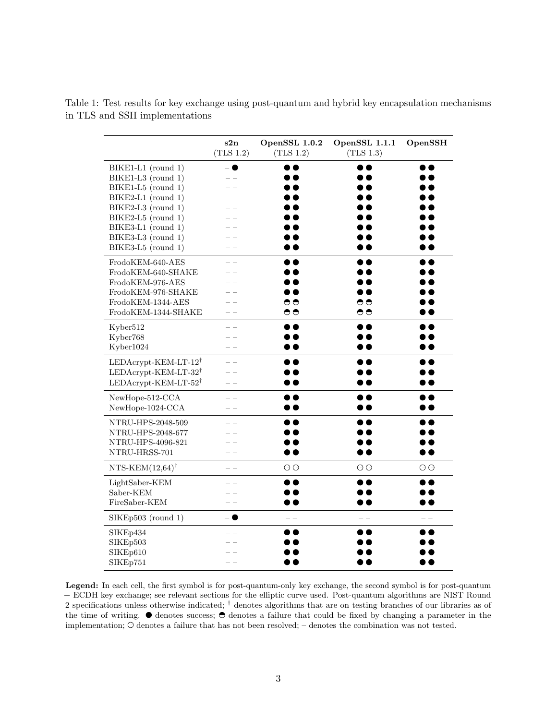<span id="page-2-0"></span>Table 1: Test results for key exchange using post-quantum and hybrid key encapsulation mechanisms in TLS and SSH implementations

|                                     | s2n<br>(TLS 1.2) | OpenSSL 1.0.2<br>(TLS 1.2) | OpenSSL 1.1.1<br>(TLS 1.3) | OpenSSH          |
|-------------------------------------|------------------|----------------------------|----------------------------|------------------|
| BIKE1-L1 (round 1)                  | - 0              | , .                        | . .                        |                  |
| BIKE1-L3 (round 1)                  |                  | $\bullet\bullet$           |                            | . .              |
| BIKE1-L5 (round 1)                  |                  | • •                        | D O                        | D O              |
| BIKE2-L1 (round 1)                  |                  |                            | . .                        | . .              |
| BIKE2-L3 (round 1)                  |                  |                            |                            | . .              |
| $BIKE2-L5$ (round 1)                |                  |                            |                            | D O              |
| BIKE3-L1 (round 1)                  |                  |                            |                            | . .              |
| BIKE3-L3 (round 1)                  |                  |                            |                            | . .              |
| BIKE3-L5 (round 1)                  |                  |                            | $\overline{\phantom{a}}$   | D A              |
| FrodoKEM-640-AES                    |                  | . .                        | . .                        | $\bullet\bullet$ |
| FrodoKEM-640-SHAKE                  |                  |                            | , .                        | . .              |
| FrodoKEM-976-AES                    |                  |                            | , .                        | . .              |
| FrodoKEM-976-SHAKE                  |                  |                            | . .                        | D O              |
| FrodoKEM-1344-AES                   |                  | ⊖                          | ಅ                          | . .              |
| FrodoKEM-1344-SHAKE                 | $=$ $-$          | ಅ                          | ಅ                          | . .              |
| Kyber512                            |                  | D O                        | D O                        |                  |
| Kyber768                            |                  |                            |                            | D O              |
| Kyber1024                           | $=$ $-$          |                            | $\epsilon$                 | . .              |
| $LEDA$ crypt-KEM-LT-12 <sup>†</sup> |                  | D O                        | . .                        | . .              |
| LEDAcrypt-KEM-LT-32 <sup>†</sup>    |                  |                            |                            | . .              |
| LEDAcrypt-KEM-LT- $52^{\dagger}$    |                  |                            | . .                        | D O              |
| NewHope-512-CCA                     |                  |                            | . .                        | . .              |
| NewHope-1024-CCA                    |                  |                            | . .                        | . .              |
| NTRU-HPS-2048-509                   |                  |                            |                            | . .              |
| NTRU-HPS-2048-677                   |                  |                            |                            | D O              |
| NTRU-HPS-4096-821                   |                  |                            |                            | • •              |
| NTRU-HRSS-701                       |                  |                            |                            |                  |
| NTS-KEM $(12,64)$ <sup>†</sup>      |                  | $\Theta$                   | $\Theta$                   | $\Theta$         |
| LightSaber-KEM                      |                  | . .                        |                            | $\bullet\bullet$ |
| Saber-KEM                           |                  |                            |                            | DO               |
| FireSaber-KEM                       |                  |                            | . .                        | . .              |
| SIKEp503 (round 1)                  | - 0              |                            |                            | - -              |
| SIKEp434                            |                  | , ,                        |                            | . .              |
| SIKEp503                            |                  |                            |                            |                  |
| SIKEp610                            |                  |                            |                            |                  |
| SIKEp751                            |                  |                            |                            | D Q              |

Legend: In each cell, the first symbol is for post-quantum-only key exchange, the second symbol is for post-quantum + ECDH key exchange; see relevant sections for the elliptic curve used. Post-quantum algorithms are NIST Round 2 specifications unless otherwise indicated; † denotes algorithms that are on testing branches of our libraries as of the time of writing.  $\bullet$  denotes success;  $\bullet$  denotes a failure that could be fixed by changing a parameter in the implementation;  $\odot$  denotes a failure that has not been resolved; – denotes the combination was not tested.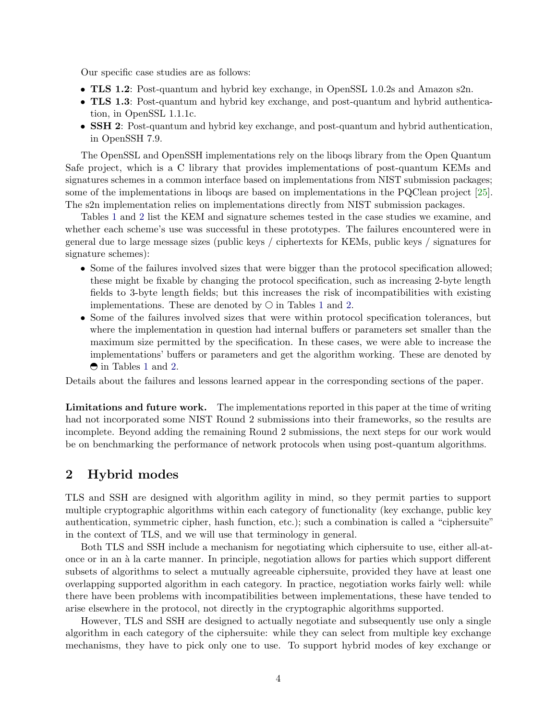Our specific case studies are as follows:

- TLS 1.2: Post-quantum and hybrid key exchange, in OpenSSL 1.0.2s and Amazon s2n.
- TLS 1.3: Post-quantum and hybrid key exchange, and post-quantum and hybrid authentication, in OpenSSL 1.1.1c.
- **SSH 2**: Post-quantum and hybrid key exchange, and post-quantum and hybrid authentication, in OpenSSH 7.9.

The OpenSSL and OpenSSH implementations rely on the liboqs library from the Open Quantum Safe project, which is a C library that provides implementations of post-quantum KEMs and signatures schemes in a common interface based on implementations from NIST submission packages; some of the implementations in liboqs are based on implementations in the PQClean project [\[25\]](#page-22-11). The s2n implementation relies on implementations directly from NIST submission packages.

Tables [1](#page-2-0) and [2](#page-4-0) list the KEM and signature schemes tested in the case studies we examine, and whether each scheme's use was successful in these prototypes. The failures encountered were in general due to large message sizes (public keys / ciphertexts for KEMs, public keys / signatures for signature schemes):

- Some of the failures involved sizes that were bigger than the protocol specification allowed; these might be fixable by changing the protocol specification, such as increasing 2-byte length fields to 3-byte length fields; but this increases the risk of incompatibilities with existing implementations. These are denoted by  $\Theta$  in Tables [1](#page-2-0) and [2.](#page-4-0)
- Some of the failures involved sizes that were within protocol specification tolerances, but where the implementation in question had internal buffers or parameters set smaller than the maximum size permitted by the specification. In these cases, we were able to increase the implementations' buffers or parameters and get the algorithm working. These are denoted by  $\Theta$  in Tables [1](#page-2-0) and [2.](#page-4-0)

Details about the failures and lessons learned appear in the corresponding sections of the paper.

Limitations and future work. The implementations reported in this paper at the time of writing had not incorporated some NIST Round 2 submissions into their frameworks, so the results are incomplete. Beyond adding the remaining Round 2 submissions, the next steps for our work would be on benchmarking the performance of network protocols when using post-quantum algorithms.

#### 2 Hybrid modes

TLS and SSH are designed with algorithm agility in mind, so they permit parties to support multiple cryptographic algorithms within each category of functionality (key exchange, public key authentication, symmetric cipher, hash function, etc.); such a combination is called a "ciphersuite" in the context of TLS, and we will use that terminology in general.

Both TLS and SSH include a mechanism for negotiating which ciphersuite to use, either all-atonce or in an `a la carte manner. In principle, negotiation allows for parties which support different subsets of algorithms to select a mutually agreeable ciphersuite, provided they have at least one overlapping supported algorithm in each category. In practice, negotiation works fairly well: while there have been problems with incompatibilities between implementations, these have tended to arise elsewhere in the protocol, not directly in the cryptographic algorithms supported.

However, TLS and SSH are designed to actually negotiate and subsequently use only a single algorithm in each category of the ciphersuite: while they can select from multiple key exchange mechanisms, they have to pick only one to use. To support hybrid modes of key exchange or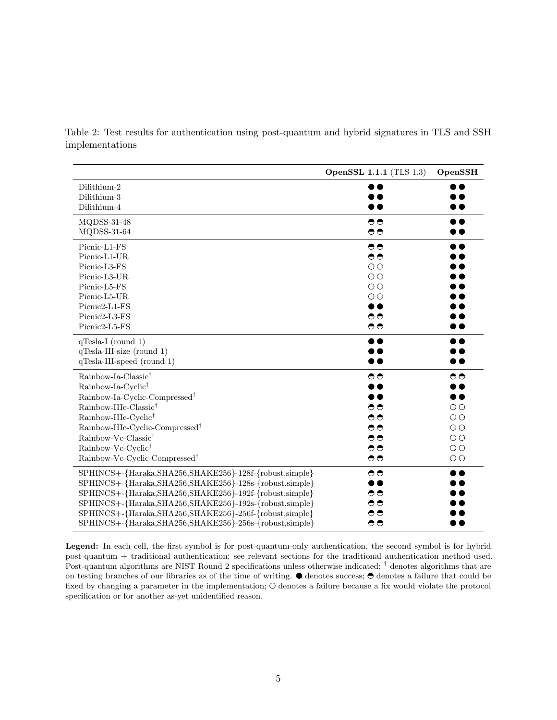|                                                           | <b>OpenSSL 1.1.1 (TLS 1.3)</b> | OpenSSH             |
|-----------------------------------------------------------|--------------------------------|---------------------|
| Dilithium-2                                               |                                |                     |
| Dilithium-3                                               |                                |                     |
| Dilithium-4                                               |                                |                     |
| MQDSS-31-48                                               | ⊖                              |                     |
| $MQDSS-31-64$                                             | $\bullet\bullet$               |                     |
| Picnic-L1-FS                                              | ⊖                              | $\bullet$ $\bullet$ |
| Picnic-L1-UR                                              | ⊖                              | $\bullet$           |
| Picnic-L3-FS                                              | $\Theta$                       | $\bullet$           |
| Picnic-L3-UR                                              | $\Theta$                       | $\bullet$           |
| Picnic-L5-FS                                              | $\Theta$                       | $\bullet$           |
| Picnic-L5-UR                                              | $\Theta$                       | $\bullet$           |
| Picnic2-L1-FS                                             | $\bullet$ $\bullet$            | $\bullet$           |
| Picnic2-L3-FS                                             | ⊖                              |                     |
| Picnic2-L5-FS                                             | $\bullet\bullet$               | $\bullet$           |
| $q$ Tesla-I (round 1)                                     | D O                            | $\bullet$           |
| $q$ Tesla-III-size (round 1)                              |                                |                     |
| qTesla-III-speed (round 1)                                |                                |                     |
| Rainbow-Ia-Classic <sup>†</sup>                           | ⊖                              | ⊖                   |
| Rainbow-Ia-Cyclic <sup>†</sup>                            |                                | D O                 |
| Rainbow-Ia-Cyclic-Compressed <sup>†</sup>                 | D O                            | $\bullet$           |
| Rainbow-IIIc-Classic <sup>†</sup>                         | ⊖                              | $\Theta$            |
| Rainbow-IIIc-Cyclic <sup>†</sup>                          | ⊖                              | $\Theta$            |
| Rainbow-IIIc-Cyclic-Compressed <sup>†</sup>               | ⊖                              | $\Theta$            |
| Rainbow-Vc-Classic <sup>†</sup>                           | ⊖                              | $\Theta$            |
| Rainbow-Vc-Cyclic <sup>†</sup>                            | ⊖                              | $\Theta$            |
| Rainbow-Vc-Cyclic-Compressed <sup>†</sup>                 | ⊖                              | $\Theta$            |
| SPHINCS+-{Haraka, SHA256, SHAKE256}-128f-{robust, simple} | ಅ                              | $\bullet\bullet$    |
| SPHINCS+-{Haraka, SHA256, SHAKE256}-128s-{robust, simple} | D O                            | D O                 |
| SPHINCS+-{Haraka, SHA256, SHAKE256}-192f-{robust, simple} | ⊖                              | $\bullet$           |
| SPHINCS+-{Haraka, SHA256, SHAKE256}-192s-{robust, simple} | $\bullet\bullet$               | ) e                 |
| SPHINCS+-{Haraka, SHA256, SHAKE256}-256f-{robust, simple} | ⊖                              |                     |
| SPHINCS+-{Haraka, SHA256, SHAKE256}-256s-{robust, simple} | ⊖                              |                     |

<span id="page-4-0"></span>Table 2: Test results for authentication using post-quantum and hybrid signatures in TLS and SSH implementations

Legend: In each cell, the first symbol is for post-quantum-only authentication, the second symbol is for hybrid post-quantum + traditional authentication; see relevant sections for the traditional authentication method used. Post-quantum algorithms are NIST Round 2 specifications unless otherwise indicated;  $\dagger$  denotes algorithms that are on testing branches of our libraries as of the time of writing.  $\bullet$  denotes success;  $\bullet$  denotes a failure that could be fixed by changing a parameter in the implementation;  $\odot$  denotes a failure because a fix would violate the protocol specification or for another as-yet unidentified reason.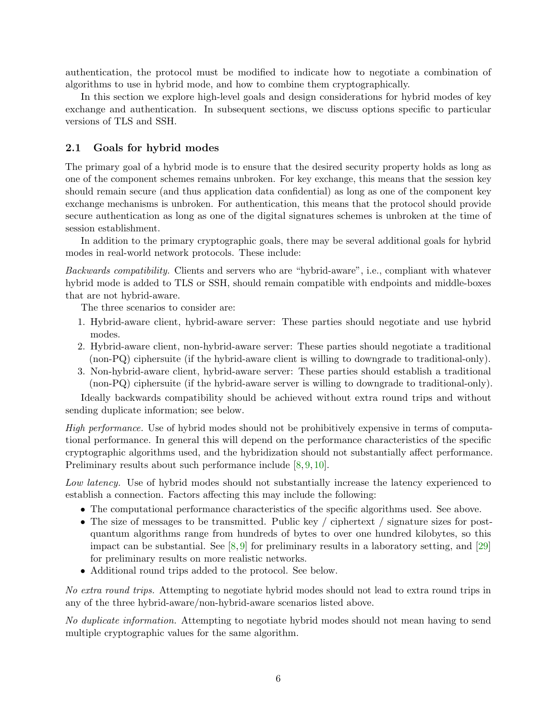authentication, the protocol must be modified to indicate how to negotiate a combination of algorithms to use in hybrid mode, and how to combine them cryptographically.

In this section we explore high-level goals and design considerations for hybrid modes of key exchange and authentication. In subsequent sections, we discuss options specific to particular versions of TLS and SSH.

# 2.1 Goals for hybrid modes

The primary goal of a hybrid mode is to ensure that the desired security property holds as long as one of the component schemes remains unbroken. For key exchange, this means that the session key should remain secure (and thus application data confidential) as long as one of the component key exchange mechanisms is unbroken. For authentication, this means that the protocol should provide secure authentication as long as one of the digital signatures schemes is unbroken at the time of session establishment.

In addition to the primary cryptographic goals, there may be several additional goals for hybrid modes in real-world network protocols. These include:

Backwards compatibility. Clients and servers who are "hybrid-aware", i.e., compliant with whatever hybrid mode is added to TLS or SSH, should remain compatible with endpoints and middle-boxes that are not hybrid-aware.

The three scenarios to consider are:

- 1. Hybrid-aware client, hybrid-aware server: These parties should negotiate and use hybrid modes.
- 2. Hybrid-aware client, non-hybrid-aware server: These parties should negotiate a traditional (non-PQ) ciphersuite (if the hybrid-aware client is willing to downgrade to traditional-only).
- 3. Non-hybrid-aware client, hybrid-aware server: These parties should establish a traditional (non-PQ) ciphersuite (if the hybrid-aware server is willing to downgrade to traditional-only).

Ideally backwards compatibility should be achieved without extra round trips and without sending duplicate information; see below.

High performance. Use of hybrid modes should not be prohibitively expensive in terms of computational performance. In general this will depend on the performance characteristics of the specific cryptographic algorithms used, and the hybridization should not substantially affect performance. Preliminary results about such performance include [\[8,](#page-21-4) [9,](#page-21-5) [10\]](#page-21-6).

Low latency. Use of hybrid modes should not substantially increase the latency experienced to establish a connection. Factors affecting this may include the following:

- The computational performance characteristics of the specific algorithms used. See above.
- The size of messages to be transmitted. Public key / ciphertext / signature sizes for postquantum algorithms range from hundreds of bytes to over one hundred kilobytes, so this impact can be substantial. See  $[8,9]$  $[8,9]$  for preliminary results in a laboratory setting, and  $[29]$ for preliminary results on more realistic networks.
- Additional round trips added to the protocol. See below.

No extra round trips. Attempting to negotiate hybrid modes should not lead to extra round trips in any of the three hybrid-aware/non-hybrid-aware scenarios listed above.

No duplicate information. Attempting to negotiate hybrid modes should not mean having to send multiple cryptographic values for the same algorithm.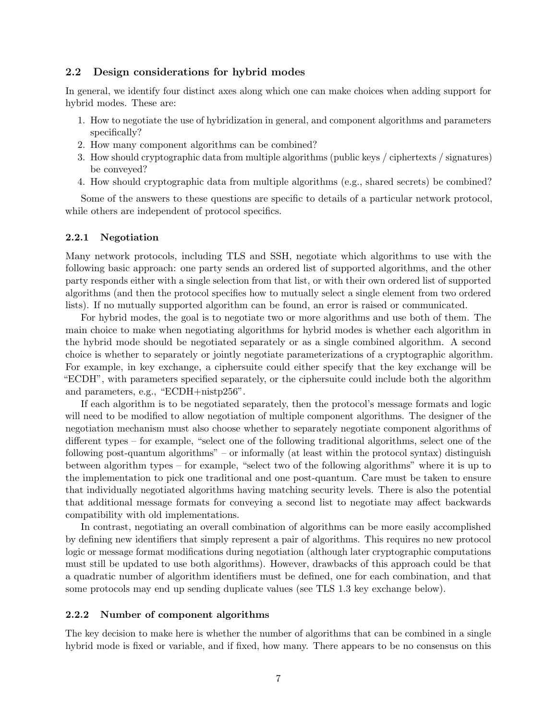# <span id="page-6-0"></span>2.2 Design considerations for hybrid modes

In general, we identify four distinct axes along which one can make choices when adding support for hybrid modes. These are:

- 1. How to negotiate the use of hybridization in general, and component algorithms and parameters specifically?
- 2. How many component algorithms can be combined?
- 3. How should cryptographic data from multiple algorithms (public keys / ciphertexts / signatures) be conveyed?
- 4. How should cryptographic data from multiple algorithms (e.g., shared secrets) be combined?

Some of the answers to these questions are specific to details of a particular network protocol, while others are independent of protocol specifics.

### 2.2.1 Negotiation

Many network protocols, including TLS and SSH, negotiate which algorithms to use with the following basic approach: one party sends an ordered list of supported algorithms, and the other party responds either with a single selection from that list, or with their own ordered list of supported algorithms (and then the protocol specifies how to mutually select a single element from two ordered lists). If no mutually supported algorithm can be found, an error is raised or communicated.

For hybrid modes, the goal is to negotiate two or more algorithms and use both of them. The main choice to make when negotiating algorithms for hybrid modes is whether each algorithm in the hybrid mode should be negotiated separately or as a single combined algorithm. A second choice is whether to separately or jointly negotiate parameterizations of a cryptographic algorithm. For example, in key exchange, a ciphersuite could either specify that the key exchange will be "ECDH", with parameters specified separately, or the ciphersuite could include both the algorithm and parameters, e.g., "ECDH+nistp256".

If each algorithm is to be negotiated separately, then the protocol's message formats and logic will need to be modified to allow negotiation of multiple component algorithms. The designer of the negotiation mechanism must also choose whether to separately negotiate component algorithms of different types – for example, "select one of the following traditional algorithms, select one of the following post-quantum algorithms" – or informally (at least within the protocol syntax) distinguish between algorithm types – for example, "select two of the following algorithms" where it is up to the implementation to pick one traditional and one post-quantum. Care must be taken to ensure that individually negotiated algorithms having matching security levels. There is also the potential that additional message formats for conveying a second list to negotiate may affect backwards compatibility with old implementations.

In contrast, negotiating an overall combination of algorithms can be more easily accomplished by defining new identifiers that simply represent a pair of algorithms. This requires no new protocol logic or message format modifications during negotiation (although later cryptographic computations must still be updated to use both algorithms). However, drawbacks of this approach could be that a quadratic number of algorithm identifiers must be defined, one for each combination, and that some protocols may end up sending duplicate values (see TLS 1.3 key exchange below).

# 2.2.2 Number of component algorithms

The key decision to make here is whether the number of algorithms that can be combined in a single hybrid mode is fixed or variable, and if fixed, how many. There appears to be no consensus on this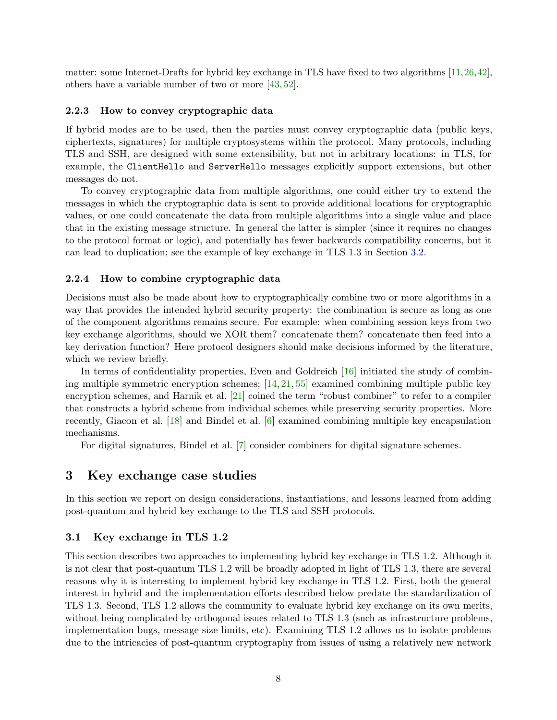matter: some Internet-Drafts for hybrid key exchange in TLS have fixed to two algorithms [\[11,](#page-21-2)[26,](#page-22-6)[42\]](#page-23-6), others have a variable number of two or more [\[43,](#page-23-5) [52\]](#page-23-8).

# 2.2.3 How to convey cryptographic data

If hybrid modes are to be used, then the parties must convey cryptographic data (public keys, ciphertexts, signatures) for multiple cryptosystems within the protocol. Many protocols, including TLS and SSH, are designed with some extensibility, but not in arbitrary locations: in TLS, for example, the ClientHello and ServerHello messages explicitly support extensions, but other messages do not.

To convey cryptographic data from multiple algorithms, one could either try to extend the messages in which the cryptographic data is sent to provide additional locations for cryptographic values, or one could concatenate the data from multiple algorithms into a single value and place that in the existing message structure. In general the latter is simpler (since it requires no changes to the protocol format or logic), and potentially has fewer backwards compatibility concerns, but it can lead to duplication; see the example of key exchange in TLS 1.3 in Section [3.2.](#page-11-0)

# 2.2.4 How to combine cryptographic data

Decisions must also be made about how to cryptographically combine two or more algorithms in a way that provides the intended hybrid security property: the combination is secure as long as one of the component algorithms remains secure. For example: when combining session keys from two key exchange algorithms, should we XOR them? concatenate them? concatenate then feed into a key derivation function? Here protocol designers should make decisions informed by the literature, which we review briefly.

In terms of confidentiality properties, Even and Goldreich [\[16\]](#page-21-7) initiated the study of combining multiple symmetric encryption schemes; [\[14,](#page-21-8) [21,](#page-21-9) [55\]](#page-23-10) examined combining multiple public key encryption schemes, and Harnik et al. [\[21\]](#page-21-9) coined the term "robust combiner" to refer to a compiler that constructs a hybrid scheme from individual schemes while preserving security properties. More recently, Giacon et al. [\[18\]](#page-21-10) and Bindel et al. [\[6\]](#page-21-11) examined combining multiple key encapsulation mechanisms.

For digital signatures, Bindel et al. [\[7\]](#page-21-12) consider combiners for digital signature schemes.

#### 3 Key exchange case studies

In this section we report on design considerations, instantiations, and lessons learned from adding post-quantum and hybrid key exchange to the TLS and SSH protocols.

### <span id="page-7-0"></span>3.1 Key exchange in TLS 1.2

This section describes two approaches to implementing hybrid key exchange in TLS 1.2. Although it is not clear that post-quantum TLS 1.2 will be broadly adopted in light of TLS 1.3, there are several reasons why it is interesting to implement hybrid key exchange in TLS 1.2. First, both the general interest in hybrid and the implementation efforts described below predate the standardization of TLS 1.3. Second, TLS 1.2 allows the community to evaluate hybrid key exchange on its own merits, without being complicated by orthogonal issues related to TLS 1.3 (such as infrastructure problems, implementation bugs, message size limits, etc). Examining TLS 1.2 allows us to isolate problems due to the intricacies of post-quantum cryptography from issues of using a relatively new network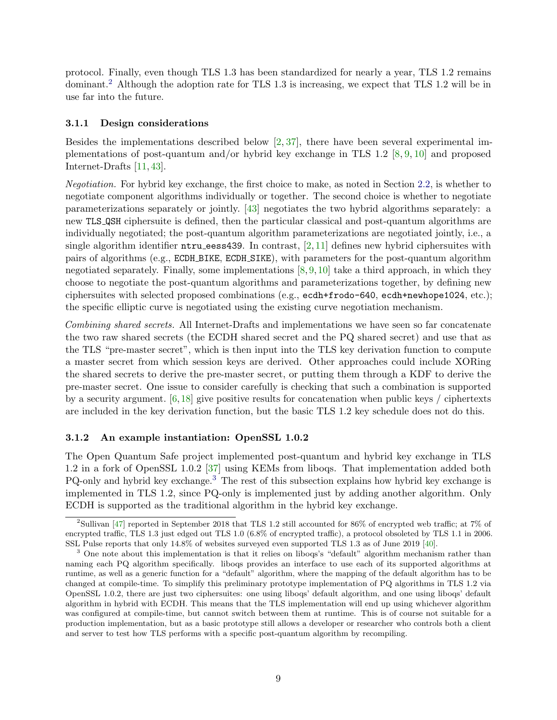protocol. Finally, even though TLS 1.3 has been standardized for nearly a year, TLS 1.2 remains dominant.[2](#page-8-0) Although the adoption rate for TLS 1.3 is increasing, we expect that TLS 1.2 will be in use far into the future.

#### <span id="page-8-3"></span>3.1.1 Design considerations

Besides the implementations described below  $[2, 37]$  $[2, 37]$  $[2, 37]$ , there have been several experimental implementations of post-quantum and/or hybrid key exchange in TLS 1.2 [\[8,](#page-21-4) [9,](#page-21-5) [10\]](#page-21-6) and proposed Internet-Drafts [\[11,](#page-21-2) [43\]](#page-23-5).

Negotiation. For hybrid key exchange, the first choice to make, as noted in Section [2.2,](#page-6-0) is whether to negotiate component algorithms individually or together. The second choice is whether to negotiate parameterizations separately or jointly. [\[43\]](#page-23-5) negotiates the two hybrid algorithms separately: a new TLS QSH ciphersuite is defined, then the particular classical and post-quantum algorithms are individually negotiated; the post-quantum algorithm parameterizations are negotiated jointly, i.e., a single algorithm identifier  $n$ tru eess439. In contrast, [\[2,](#page-20-0)[11\]](#page-21-2) defines new hybrid ciphersuites with pairs of algorithms (e.g., ECDH BIKE, ECDH SIKE), with parameters for the post-quantum algorithm negotiated separately. Finally, some implementations  $[8, 9, 10]$  $[8, 9, 10]$  $[8, 9, 10]$  $[8, 9, 10]$  $[8, 9, 10]$  take a third approach, in which they choose to negotiate the post-quantum algorithms and parameterizations together, by defining new ciphersuites with selected proposed combinations (e.g., ecdh+frodo-640, ecdh+newhope1024, etc.); the specific elliptic curve is negotiated using the existing curve negotiation mechanism.

Combining shared secrets. All Internet-Drafts and implementations we have seen so far concatenate the two raw shared secrets (the ECDH shared secret and the PQ shared secret) and use that as the TLS "pre-master secret", which is then input into the TLS key derivation function to compute a master secret from which session keys are derived. Other approaches could include XORing the shared secrets to derive the pre-master secret, or putting them through a KDF to derive the pre-master secret. One issue to consider carefully is checking that such a combination is supported by a security argument.  $[6, 18]$  $[6, 18]$  $[6, 18]$  give positive results for concatenation when public keys / ciphertexts are included in the key derivation function, but the basic TLS 1.2 key schedule does not do this.

### <span id="page-8-2"></span>3.1.2 An example instantiation: OpenSSL 1.0.2

The Open Quantum Safe project implemented post-quantum and hybrid key exchange in TLS 1.2 in a fork of OpenSSL 1.0.2 [\[37\]](#page-22-7) using KEMs from liboqs. That implementation added both PQ-only and hybrid key exchange.[3](#page-8-1) The rest of this subsection explains how hybrid key exchange is implemented in TLS 1.2, since PQ-only is implemented just by adding another algorithm. Only ECDH is supported as the traditional algorithm in the hybrid key exchange.

<span id="page-8-0"></span><sup>&</sup>lt;sup>2</sup>Sullivan [\[47\]](#page-23-11) reported in September 2018 that TLS 1.2 still accounted for 86% of encrypted web traffic; at 7% of encrypted traffic, TLS 1.3 just edged out TLS 1.0 (6.8% of encrypted traffic), a protocol obsoleted by TLS 1.1 in 2006. SSL Pulse reports that only 14.8% of websites surveyed even supported TLS 1.3 as of June 2019 [\[40\]](#page-22-13).

<span id="page-8-1"></span><sup>&</sup>lt;sup>3</sup> One note about this implementation is that it relies on liboqs's "default" algorithm mechanism rather than naming each PQ algorithm specifically. liboqs provides an interface to use each of its supported algorithms at runtime, as well as a generic function for a "default" algorithm, where the mapping of the default algorithm has to be changed at compile-time. To simplify this preliminary prototype implementation of PQ algorithms in TLS 1.2 via OpenSSL 1.0.2, there are just two ciphersuites: one using liboqs' default algorithm, and one using liboqs' default algorithm in hybrid with ECDH. This means that the TLS implementation will end up using whichever algorithm was configured at compile-time, but cannot switch between them at runtime. This is of course not suitable for a production implementation, but as a basic prototype still allows a developer or researcher who controls both a client and server to test how TLS performs with a specific post-quantum algorithm by recompiling.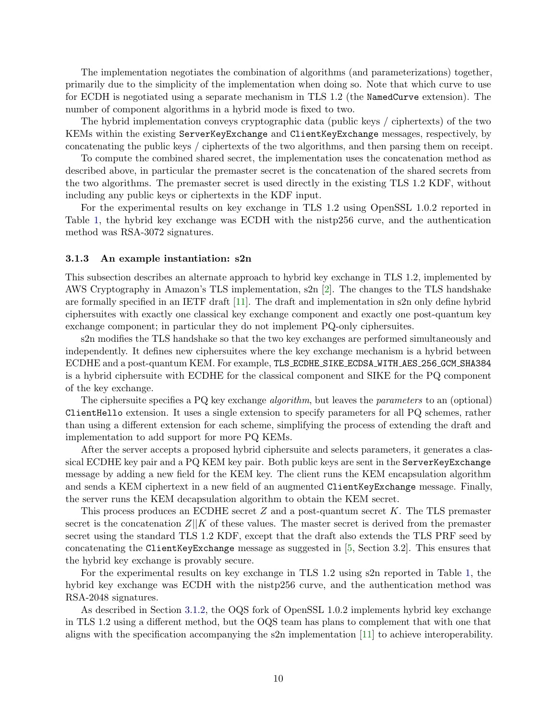The implementation negotiates the combination of algorithms (and parameterizations) together, primarily due to the simplicity of the implementation when doing so. Note that which curve to use for ECDH is negotiated using a separate mechanism in TLS 1.2 (the NamedCurve extension). The number of component algorithms in a hybrid mode is fixed to two.

The hybrid implementation conveys cryptographic data (public keys / ciphertexts) of the two KEMs within the existing ServerKeyExchange and ClientKeyExchange messages, respectively, by concatenating the public keys / ciphertexts of the two algorithms, and then parsing them on receipt.

To compute the combined shared secret, the implementation uses the concatenation method as described above, in particular the premaster secret is the concatenation of the shared secrets from the two algorithms. The premaster secret is used directly in the existing TLS 1.2 KDF, without including any public keys or ciphertexts in the KDF input.

For the experimental results on key exchange in TLS 1.2 using OpenSSL 1.0.2 reported in Table [1,](#page-2-0) the hybrid key exchange was ECDH with the nistp256 curve, and the authentication method was RSA-3072 signatures.

#### 3.1.3 An example instantiation: s2n

This subsection describes an alternate approach to hybrid key exchange in TLS 1.2, implemented by AWS Cryptography in Amazon's TLS implementation, s2n [\[2\]](#page-20-0). The changes to the TLS handshake are formally specified in an IETF draft [\[11\]](#page-21-2). The draft and implementation in s2n only define hybrid ciphersuites with exactly one classical key exchange component and exactly one post-quantum key exchange component; in particular they do not implement PQ-only ciphersuites.

s2n modifies the TLS handshake so that the two key exchanges are performed simultaneously and independently. It defines new ciphersuites where the key exchange mechanism is a hybrid between ECDHE and a post-quantum KEM. For example, TLS ECDHE SIKE ECDSA WITH AES 256 GCM SHA384 is a hybrid ciphersuite with ECDHE for the classical component and SIKE for the PQ component of the key exchange.

The ciphersuite specifies a PQ key exchange *algorithm*, but leaves the *parameters* to an (optional) ClientHello extension. It uses a single extension to specify parameters for all PQ schemes, rather than using a different extension for each scheme, simplifying the process of extending the draft and implementation to add support for more PQ KEMs.

After the server accepts a proposed hybrid ciphersuite and selects parameters, it generates a classical ECDHE key pair and a PQ KEM key pair. Both public keys are sent in the ServerKeyExchange message by adding a new field for the KEM key. The client runs the KEM encapsulation algorithm and sends a KEM ciphertext in a new field of an augmented ClientKeyExchange message. Finally, the server runs the KEM decapsulation algorithm to obtain the KEM secret.

This process produces an ECDHE secret  $Z$  and a post-quantum secret  $K$ . The TLS premaster secret is the concatenation  $Z||K$  of these values. The master secret is derived from the premaster secret using the standard TLS 1.2 KDF, except that the draft also extends the TLS PRF seed by concatenating the ClientKeyExchange message as suggested in [\[5,](#page-20-1) Section 3.2]. This ensures that the hybrid key exchange is provably secure.

For the experimental results on key exchange in TLS 1.2 using s2n reported in Table [1,](#page-2-0) the hybrid key exchange was ECDH with the nistp256 curve, and the authentication method was RSA-2048 signatures.

As described in Section [3.1.2,](#page-8-2) the OQS fork of OpenSSL 1.0.2 implements hybrid key exchange in TLS 1.2 using a different method, but the OQS team has plans to complement that with one that aligns with the specification accompanying the s2n implementation [\[11\]](#page-21-2) to achieve interoperability.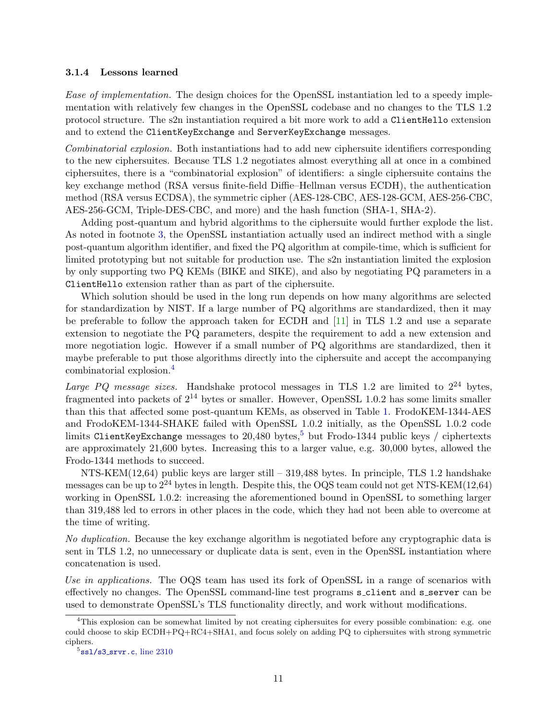# 3.1.4 Lessons learned

Ease of implementation. The design choices for the OpenSSL instantiation led to a speedy implementation with relatively few changes in the OpenSSL codebase and no changes to the TLS 1.2 protocol structure. The s2n instantiation required a bit more work to add a ClientHello extension and to extend the ClientKeyExchange and ServerKeyExchange messages.

Combinatorial explosion. Both instantiations had to add new ciphersuite identifiers corresponding to the new ciphersuites. Because TLS 1.2 negotiates almost everything all at once in a combined ciphersuites, there is a "combinatorial explosion" of identifiers: a single ciphersuite contains the key exchange method (RSA versus finite-field Diffie–Hellman versus ECDH), the authentication method (RSA versus ECDSA), the symmetric cipher (AES-128-CBC, AES-128-GCM, AES-256-CBC, AES-256-GCM, Triple-DES-CBC, and more) and the hash function (SHA-1, SHA-2).

Adding post-quantum and hybrid algorithms to the ciphersuite would further explode the list. As noted in footnote [3,](#page-8-1) the OpenSSL instantiation actually used an indirect method with a single post-quantum algorithm identifier, and fixed the PQ algorithm at compile-time, which is sufficient for limited prototyping but not suitable for production use. The s2n instantiation limited the explosion by only supporting two PQ KEMs (BIKE and SIKE), and also by negotiating PQ parameters in a ClientHello extension rather than as part of the ciphersuite.

Which solution should be used in the long run depends on how many algorithms are selected for standardization by NIST. If a large number of PQ algorithms are standardized, then it may be preferable to follow the approach taken for ECDH and [\[11\]](#page-21-2) in TLS 1.2 and use a separate extension to negotiate the PQ parameters, despite the requirement to add a new extension and more negotiation logic. However if a small number of PQ algorithms are standardized, then it maybe preferable to put those algorithms directly into the ciphersuite and accept the accompanying combinatorial explosion.[4](#page-10-0)

Large PQ message sizes. Handshake protocol messages in TLS 1.2 are limited to  $2^{24}$  bytes, fragmented into packets of  $2^{14}$  bytes or smaller. However, OpenSSL 1.0.2 has some limits smaller than this that affected some post-quantum KEMs, as observed in Table [1.](#page-2-0) FrodoKEM-1344-AES and FrodoKEM-1344-SHAKE failed with OpenSSL 1.0.2 initially, as the OpenSSL 1.0.2 code limits ClientKeyExchange messages to 20.480 bytes.<sup>[5](#page-10-1)</sup> but Frodo-1344 public keys / ciphertexts are approximately 21,600 bytes. Increasing this to a larger value, e.g. 30,000 bytes, allowed the Frodo-1344 methods to succeed.

NTS-KEM(12,64) public keys are larger still – 319,488 bytes. In principle, TLS 1.2 handshake messages can be up to  $2^{24}$  bytes in length. Despite this, the OQS team could not get NTS-KEM(12,64) working in OpenSSL 1.0.2: increasing the aforementioned bound in OpenSSL to something larger than 319,488 led to errors in other places in the code, which they had not been able to overcome at the time of writing.

No duplication. Because the key exchange algorithm is negotiated before any cryptographic data is sent in TLS 1.2, no unnecessary or duplicate data is sent, even in the OpenSSL instantiation where concatenation is used.

Use in applications. The OQS team has used its fork of OpenSSL in a range of scenarios with effectively no changes. The OpenSSL command-line test programs s client and s server can be used to demonstrate OpenSSL's TLS functionality directly, and work without modifications.

<span id="page-10-0"></span> $4$ This explosion can be somewhat limited by not creating ciphersuites for every possible combination: e.g. one could choose to skip ECDH+PQ+RC4+SHA1, and focus solely on adding PQ to ciphersuites with strong symmetric ciphers.

<span id="page-10-1"></span> $5$ ssl/s3\_[srvr.c](https://github.com/open-quantum-safe/openssl/blob/95f5afb/ssl/s3_srvr.c#L2310), line 2310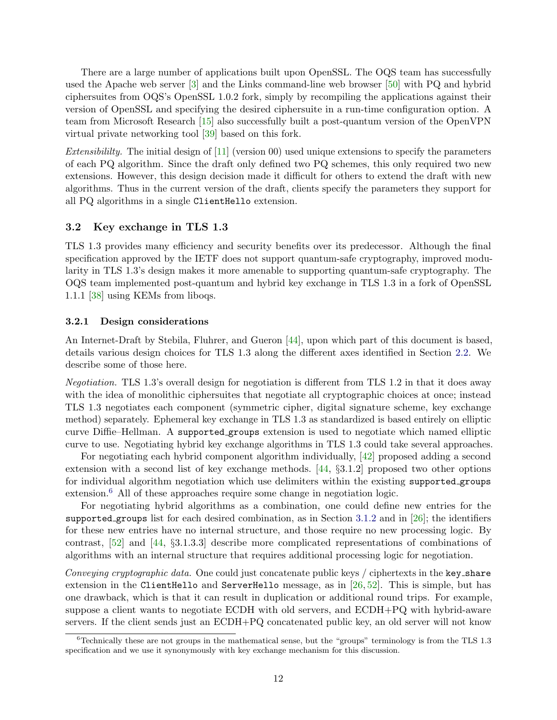There are a large number of applications built upon OpenSSL. The OQS team has successfully used the Apache web server [\[3\]](#page-20-2) and the Links command-line web browser [\[50\]](#page-23-12) with PQ and hybrid ciphersuites from OQS's OpenSSL 1.0.2 fork, simply by recompiling the applications against their version of OpenSSL and specifying the desired ciphersuite in a run-time configuration option. A team from Microsoft Research [\[15\]](#page-21-13) also successfully built a post-quantum version of the OpenVPN virtual private networking tool [\[39\]](#page-22-14) based on this fork.

Extensibility. The initial design of  $[11]$  (version 00) used unique extensions to specify the parameters of each PQ algorithm. Since the draft only defined two PQ schemes, this only required two new extensions. However, this design decision made it difficult for others to extend the draft with new algorithms. Thus in the current version of the draft, clients specify the parameters they support for all PQ algorithms in a single ClientHello extension.

# <span id="page-11-0"></span>3.2 Key exchange in TLS 1.3

TLS 1.3 provides many efficiency and security benefits over its predecessor. Although the final specification approved by the IETF does not support quantum-safe cryptography, improved modularity in TLS 1.3's design makes it more amenable to supporting quantum-safe cryptography. The OQS team implemented post-quantum and hybrid key exchange in TLS 1.3 in a fork of OpenSSL 1.1.1 [\[38\]](#page-22-9) using KEMs from liboqs.

#### <span id="page-11-2"></span>3.2.1 Design considerations

An Internet-Draft by Stebila, Fluhrer, and Gueron [\[44\]](#page-23-7), upon which part of this document is based, details various design choices for TLS 1.3 along the different axes identified in Section [2.2.](#page-6-0) We describe some of those here.

Negotiation. TLS 1.3's overall design for negotiation is different from TLS 1.2 in that it does away with the idea of monolithic ciphersuites that negotiate all cryptographic choices at once; instead TLS 1.3 negotiates each component (symmetric cipher, digital signature scheme, key exchange method) separately. Ephemeral key exchange in TLS 1.3 as standardized is based entirely on elliptic curve Diffie–Hellman. A supported groups extension is used to negotiate which named elliptic curve to use. Negotiating hybrid key exchange algorithms in TLS 1.3 could take several approaches.

For negotiating each hybrid component algorithm individually, [\[42\]](#page-23-6) proposed adding a second extension with a second list of key exchange methods.  $[44, \S3.1.2]$  $[44, \S3.1.2]$  proposed two other options for individual algorithm negotiation which use delimiters within the existing supported groups extension.<sup>[6](#page-11-1)</sup> All of these approaches require some change in negotiation logic.

For negotiating hybrid algorithms as a combination, one could define new entries for the supported groups list for each desired combination, as in Section [3.1.2](#page-8-2) and in  $[26]$ ; the identifiers for these new entries have no internal structure, and those require no new processing logic. By contrast, [\[52\]](#page-23-8) and [\[44,](#page-23-7) §3.1.3.3] describe more complicated representations of combinations of algorithms with an internal structure that requires additional processing logic for negotiation.

Conveying cryptographic data. One could just concatenate public keys / ciphertexts in the key-share extension in the ClientHello and ServerHello message, as in  $[26, 52]$  $[26, 52]$  $[26, 52]$ . This is simple, but has one drawback, which is that it can result in duplication or additional round trips. For example, suppose a client wants to negotiate ECDH with old servers, and ECDH+PQ with hybrid-aware servers. If the client sends just an ECDH+PQ concatenated public key, an old server will not know

<span id="page-11-1"></span> $6$ Technically these are not groups in the mathematical sense, but the "groups" terminology is from the TLS 1.3 specification and we use it synonymously with key exchange mechanism for this discussion.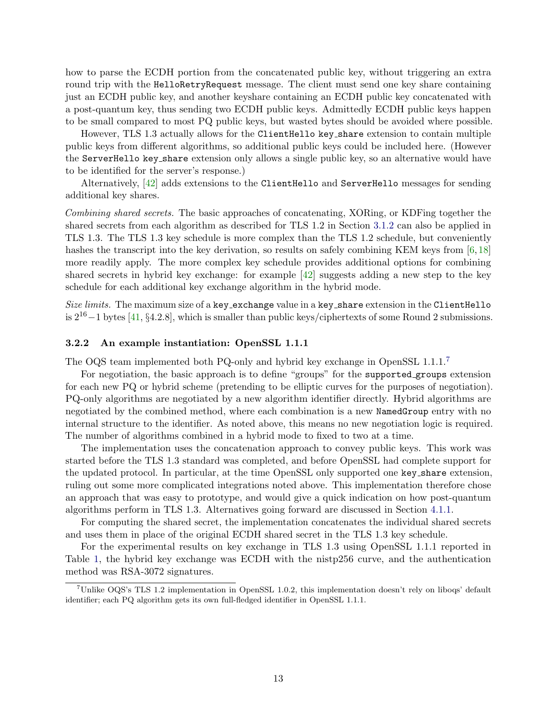how to parse the ECDH portion from the concatenated public key, without triggering an extra round trip with the HelloRetryRequest message. The client must send one key share containing just an ECDH public key, and another keyshare containing an ECDH public key concatenated with a post-quantum key, thus sending two ECDH public keys. Admittedly ECDH public keys happen to be small compared to most PQ public keys, but wasted bytes should be avoided where possible.

However, TLS 1.3 actually allows for the ClientHello key share extension to contain multiple public keys from different algorithms, so additional public keys could be included here. (However the ServerHello key share extension only allows a single public key, so an alternative would have to be identified for the server's response.)

Alternatively,  $[42]$  adds extensions to the ClientHello and ServerHello messages for sending additional key shares.

Combining shared secrets. The basic approaches of concatenating, XORing, or KDFing together the shared secrets from each algorithm as described for TLS 1.2 in Section [3.1.2](#page-8-2) can also be applied in TLS 1.3. The TLS 1.3 key schedule is more complex than the TLS 1.2 schedule, but conveniently hashes the transcript into the key derivation, so results on safely combining KEM keys from [\[6,](#page-21-11)[18\]](#page-21-10) more readily apply. The more complex key schedule provides additional options for combining shared secrets in hybrid key exchange: for example [\[42\]](#page-23-6) suggests adding a new step to the key schedule for each additional key exchange algorithm in the hybrid mode.

Size limits. The maximum size of a key\_exchange value in a key\_share extension in the ClientHello is  $2^{16}-1$  bytes [\[41,](#page-22-15) §4.2.8], which is smaller than public keys/ciphertexts of some Round 2 submissions.

#### 3.2.2 An example instantiation: OpenSSL 1.1.1

The OQS team implemented both PQ-only and hybrid key exchange in OpenSSL 1.1.1.[7](#page-12-0)

For negotiation, the basic approach is to define "groups" for the supported groups extension for each new PQ or hybrid scheme (pretending to be elliptic curves for the purposes of negotiation). PQ-only algorithms are negotiated by a new algorithm identifier directly. Hybrid algorithms are negotiated by the combined method, where each combination is a new NamedGroup entry with no internal structure to the identifier. As noted above, this means no new negotiation logic is required. The number of algorithms combined in a hybrid mode to fixed to two at a time.

The implementation uses the concatenation approach to convey public keys. This work was started before the TLS 1.3 standard was completed, and before OpenSSL had complete support for the updated protocol. In particular, at the time OpenSSL only supported one key share extension, ruling out some more complicated integrations noted above. This implementation therefore chose an approach that was easy to prototype, and would give a quick indication on how post-quantum algorithms perform in TLS 1.3. Alternatives going forward are discussed in Section [4.1.1.](#page-15-0)

For computing the shared secret, the implementation concatenates the individual shared secrets and uses them in place of the original ECDH shared secret in the TLS 1.3 key schedule.

For the experimental results on key exchange in TLS 1.3 using OpenSSL 1.1.1 reported in Table [1,](#page-2-0) the hybrid key exchange was ECDH with the nistp256 curve, and the authentication method was RSA-3072 signatures.

<span id="page-12-0"></span><sup>7</sup>Unlike OQS's TLS 1.2 implementation in OpenSSL 1.0.2, this implementation doesn't rely on liboqs' default identifier; each PQ algorithm gets its own full-fledged identifier in OpenSSL 1.1.1.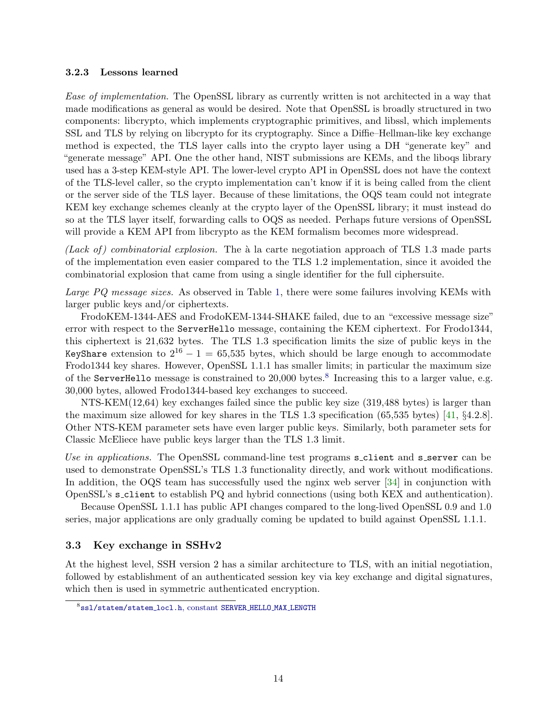# 3.2.3 Lessons learned

Ease of implementation. The OpenSSL library as currently written is not architected in a way that made modifications as general as would be desired. Note that OpenSSL is broadly structured in two components: libcrypto, which implements cryptographic primitives, and libssl, which implements SSL and TLS by relying on libcrypto for its cryptography. Since a Diffie–Hellman-like key exchange method is expected, the TLS layer calls into the crypto layer using a DH "generate key" and "generate message" API. One the other hand, NIST submissions are KEMs, and the liboqs library used has a 3-step KEM-style API. The lower-level crypto API in OpenSSL does not have the context of the TLS-level caller, so the crypto implementation can't know if it is being called from the client or the server side of the TLS layer. Because of these limitations, the OQS team could not integrate KEM key exchange schemes cleanly at the crypto layer of the OpenSSL library; it must instead do so at the TLS layer itself, forwarding calls to OQS as needed. Perhaps future versions of OpenSSL will provide a KEM API from libcrypto as the KEM formalism becomes more widespread.

(Lack of) combinatorial explosion. The  $\alpha$  la carte negotiation approach of TLS 1.3 made parts of the implementation even easier compared to the TLS 1.2 implementation, since it avoided the combinatorial explosion that came from using a single identifier for the full ciphersuite.

Large PQ message sizes. As observed in Table [1,](#page-2-0) there were some failures involving KEMs with larger public keys and/or ciphertexts.

FrodoKEM-1344-AES and FrodoKEM-1344-SHAKE failed, due to an "excessive message size" error with respect to the ServerHello message, containing the KEM ciphertext. For Frodo1344, this ciphertext is 21,632 bytes. The TLS 1.3 specification limits the size of public keys in the KeyShare extension to  $2^{16} - 1 = 65,535$  bytes, which should be large enough to accommodate Frodo1344 key shares. However, OpenSSL 1.1.1 has smaller limits; in particular the maximum size of the ServerHello message is constrained to  $20,000$  bytes.<sup>[8](#page-13-0)</sup> Increasing this to a larger value, e.g. 30,000 bytes, allowed Frodo1344-based key exchanges to succeed.

NTS-KEM(12,64) key exchanges failed since the public key size (319,488 bytes) is larger than the maximum size allowed for key shares in the TLS 1.3 specification (65,535 bytes) [\[41,](#page-22-15) §4.2.8]. Other NTS-KEM parameter sets have even larger public keys. Similarly, both parameter sets for Classic McEliece have public keys larger than the TLS 1.3 limit.

Use in applications. The OpenSSL command-line test programs s\_client and s\_server can be used to demonstrate OpenSSL's TLS 1.3 functionality directly, and work without modifications. In addition, the OQS team has successfully used the nginx web server [\[34\]](#page-22-16) in conjunction with OpenSSL's s client to establish PQ and hybrid connections (using both KEX and authentication).

Because OpenSSL 1.1.1 has public API changes compared to the long-lived OpenSSL 0.9 and 1.0 series, major applications are only gradually coming be updated to build against OpenSSL 1.1.1.

# 3.3 Key exchange in SSHv2

At the highest level, SSH version 2 has a similar architecture to TLS, with an initial negotiation, followed by establishment of an authenticated session key via key exchange and digital signatures, which then is used in symmetric authenticated encryption.

<span id="page-13-0"></span><sup>8</sup>[ssl/statem/statem](https://github.com/open-quantum-safe/openssl/blob/df33b99cebf97cc5c56c4ba6ded50fce51c0c2b9/ssl/statem/statem_locl.h#L22) locl.h, constant SERVER HELLO MAX LENGTH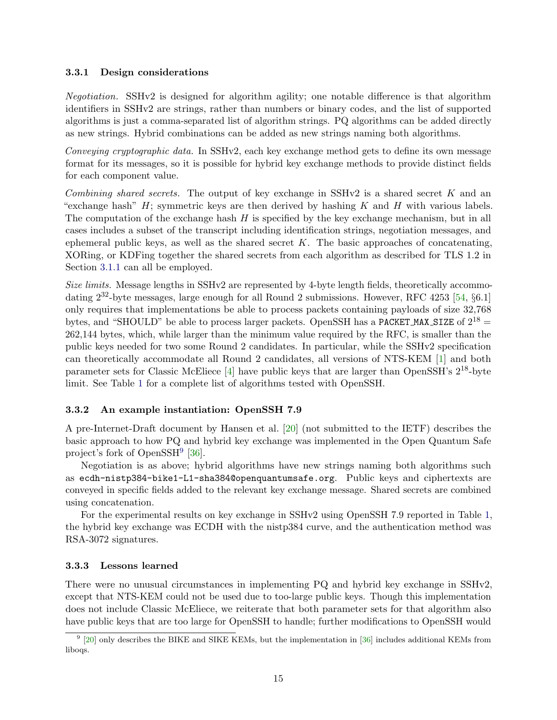## 3.3.1 Design considerations

Negotiation. SSHv2 is designed for algorithm agility; one notable difference is that algorithm identifiers in SSHv2 are strings, rather than numbers or binary codes, and the list of supported algorithms is just a comma-separated list of algorithm strings. PQ algorithms can be added directly as new strings. Hybrid combinations can be added as new strings naming both algorithms.

Conveying cryptographic data. In SSHv2, each key exchange method gets to define its own message format for its messages, so it is possible for hybrid key exchange methods to provide distinct fields for each component value.

Combining shared secrets. The output of key exchange in  $SSHv2$  is a shared secret K and an "exchange hash"  $H$ ; symmetric keys are then derived by hashing K and H with various labels. The computation of the exchange hash  $H$  is specified by the key exchange mechanism, but in all cases includes a subset of the transcript including identification strings, negotiation messages, and ephemeral public keys, as well as the shared secret  $K$ . The basic approaches of concatenating, XORing, or KDFing together the shared secrets from each algorithm as described for TLS 1.2 in Section [3.1.1](#page-8-3) can all be employed.

Size limits. Message lengths in SSHv2 are represented by 4-byte length fields, theoretically accommodating  $2^{32}$ -byte messages, large enough for all Round 2 submissions. However, RFC 4253 [\[54,](#page-23-13) §6.1] only requires that implementations be able to process packets containing payloads of size 32,768 bytes, and "SHOULD" be able to process larger packets. OpenSSH has a PACKET MAX SIZE of  $2^{18}$  = 262,144 bytes, which, while larger than the minimum value required by the RFC, is smaller than the public keys needed for two some Round 2 candidates. In particular, while the SSHv2 specification can theoretically accommodate all Round 2 candidates, all versions of NTS-KEM [\[1\]](#page-20-3) and both parameter sets for Classic McEliece [\[4\]](#page-20-4) have public keys that are larger than OpenSSH's  $2^{18}$ -byte limit. See Table [1](#page-2-0) for a complete list of algorithms tested with OpenSSH.

# 3.3.2 An example instantiation: OpenSSH 7.9

A pre-Internet-Draft document by Hansen et al. [\[20\]](#page-21-14) (not submitted to the IETF) describes the basic approach to how PQ and hybrid key exchange was implemented in the Open Quantum Safe project's fork of OpenSSH<sup>[9](#page-14-0)</sup> [\[36\]](#page-22-10).

Negotiation is as above; hybrid algorithms have new strings naming both algorithms such as ecdh-nistp384-bike1-L1-sha384@openquantumsafe.org. Public keys and ciphertexts are conveyed in specific fields added to the relevant key exchange message. Shared secrets are combined using concatenation.

For the experimental results on key exchange in SSHv2 using OpenSSH 7.9 reported in Table [1,](#page-2-0) the hybrid key exchange was ECDH with the nistp384 curve, and the authentication method was RSA-3072 signatures.

# 3.3.3 Lessons learned

There were no unusual circumstances in implementing PQ and hybrid key exchange in SSHv2, except that NTS-KEM could not be used due to too-large public keys. Though this implementation does not include Classic McEliece, we reiterate that both parameter sets for that algorithm also have public keys that are too large for OpenSSH to handle; further modifications to OpenSSH would

<span id="page-14-0"></span> $9$  [\[20\]](#page-21-14) only describes the BIKE and SIKE KEMs, but the implementation in [\[36\]](#page-22-10) includes additional KEMs from liboqs.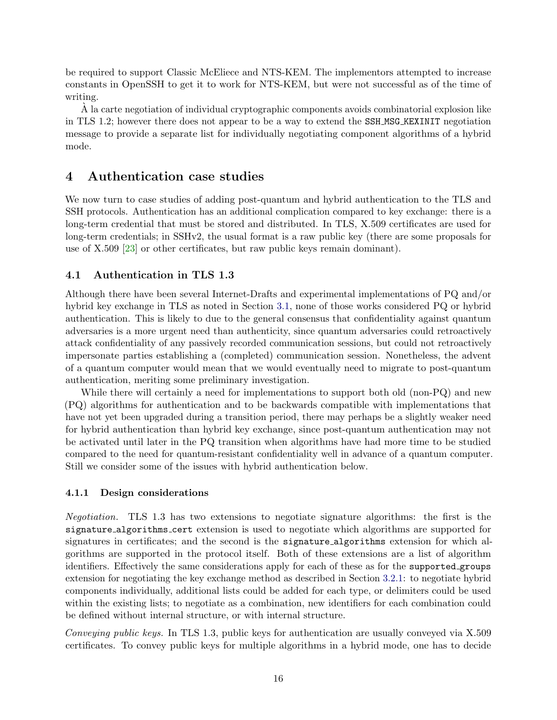be required to support Classic McEliece and NTS-KEM. The implementors attempted to increase constants in OpenSSH to get it to work for NTS-KEM, but were not successful as of the time of writing.

 $\dot{A}$  la carte negotiation of individual cryptographic components avoids combinatorial explosion like in TLS 1.2; however there does not appear to be a way to extend the SSH MSG KEXINIT negotiation message to provide a separate list for individually negotiating component algorithms of a hybrid mode.

#### 4 Authentication case studies

We now turn to case studies of adding post-quantum and hybrid authentication to the TLS and SSH protocols. Authentication has an additional complication compared to key exchange: there is a long-term credential that must be stored and distributed. In TLS, X.509 certificates are used for long-term credentials; in SSHv2, the usual format is a raw public key (there are some proposals for use of X.509 [\[23\]](#page-22-17) or other certificates, but raw public keys remain dominant).

# 4.1 Authentication in TLS 1.3

Although there have been several Internet-Drafts and experimental implementations of PQ and/or hybrid key exchange in TLS as noted in Section [3.1,](#page-7-0) none of those works considered PQ or hybrid authentication. This is likely to due to the general consensus that confidentiality against quantum adversaries is a more urgent need than authenticity, since quantum adversaries could retroactively attack confidentiality of any passively recorded communication sessions, but could not retroactively impersonate parties establishing a (completed) communication session. Nonetheless, the advent of a quantum computer would mean that we would eventually need to migrate to post-quantum authentication, meriting some preliminary investigation.

While there will certainly a need for implementations to support both old (non-PQ) and new (PQ) algorithms for authentication and to be backwards compatible with implementations that have not yet been upgraded during a transition period, there may perhaps be a slightly weaker need for hybrid authentication than hybrid key exchange, since post-quantum authentication may not be activated until later in the PQ transition when algorithms have had more time to be studied compared to the need for quantum-resistant confidentiality well in advance of a quantum computer. Still we consider some of the issues with hybrid authentication below.

### <span id="page-15-0"></span>4.1.1 Design considerations

Negotiation. TLS 1.3 has two extensions to negotiate signature algorithms: the first is the signature algorithms cert extension is used to negotiate which algorithms are supported for signatures in certificates; and the second is the **signature-algorithms** extension for which algorithms are supported in the protocol itself. Both of these extensions are a list of algorithm identifiers. Effectively the same considerations apply for each of these as for the supported groups extension for negotiating the key exchange method as described in Section [3.2.1:](#page-11-2) to negotiate hybrid components individually, additional lists could be added for each type, or delimiters could be used within the existing lists; to negotiate as a combination, new identifiers for each combination could be defined without internal structure, or with internal structure.

Conveying public keys. In TLS 1.3, public keys for authentication are usually conveyed via X.509 certificates. To convey public keys for multiple algorithms in a hybrid mode, one has to decide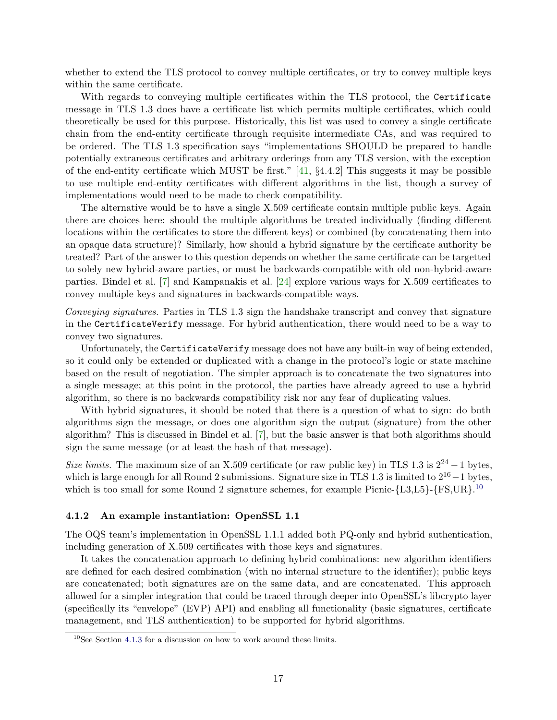whether to extend the TLS protocol to convey multiple certificates, or try to convey multiple keys within the same certificate.

With regards to conveying multiple certificates within the TLS protocol, the Certificate message in TLS 1.3 does have a certificate list which permits multiple certificates, which could theoretically be used for this purpose. Historically, this list was used to convey a single certificate chain from the end-entity certificate through requisite intermediate CAs, and was required to be ordered. The TLS 1.3 specification says "implementations SHOULD be prepared to handle potentially extraneous certificates and arbitrary orderings from any TLS version, with the exception of the end-entity certificate which MUST be first."  $[41, \, \S4.4.2]$  $[41, \, \S4.4.2]$  This suggests it may be possible to use multiple end-entity certificates with different algorithms in the list, though a survey of implementations would need to be made to check compatibility.

The alternative would be to have a single X.509 certificate contain multiple public keys. Again there are choices here: should the multiple algorithms be treated individually (finding different locations within the certificates to store the different keys) or combined (by concatenating them into an opaque data structure)? Similarly, how should a hybrid signature by the certificate authority be treated? Part of the answer to this question depends on whether the same certificate can be targetted to solely new hybrid-aware parties, or must be backwards-compatible with old non-hybrid-aware parties. Bindel et al. [\[7\]](#page-21-12) and Kampanakis et al. [\[24\]](#page-22-18) explore various ways for X.509 certificates to convey multiple keys and signatures in backwards-compatible ways.

Conveying signatures. Parties in TLS 1.3 sign the handshake transcript and convey that signature in the CertificateVerify message. For hybrid authentication, there would need to be a way to convey two signatures.

Unfortunately, the CertificateVerify message does not have any built-in way of being extended, so it could only be extended or duplicated with a change in the protocol's logic or state machine based on the result of negotiation. The simpler approach is to concatenate the two signatures into a single message; at this point in the protocol, the parties have already agreed to use a hybrid algorithm, so there is no backwards compatibility risk nor any fear of duplicating values.

With hybrid signatures, it should be noted that there is a question of what to sign: do both algorithms sign the message, or does one algorithm sign the output (signature) from the other algorithm? This is discussed in Bindel et al. [\[7\]](#page-21-12), but the basic answer is that both algorithms should sign the same message (or at least the hash of that message).

Size limits. The maximum size of an X.509 certificate (or raw public key) in TLS 1.3 is  $2^{24} - 1$  bytes, which is large enough for all Round 2 submissions. Signature size in TLS 1.3 is limited to 216−1 bytes, which is too small for some Round 2 signature schemes, for example Picnic- ${L3, L5}$ }- ${FS, UR}$ .<sup>[10](#page-16-0)</sup>

#### 4.1.2 An example instantiation: OpenSSL 1.1

The OQS team's implementation in OpenSSL 1.1.1 added both PQ-only and hybrid authentication, including generation of X.509 certificates with those keys and signatures.

It takes the concatenation approach to defining hybrid combinations: new algorithm identifiers are defined for each desired combination (with no internal structure to the identifier); public keys are concatenated; both signatures are on the same data, and are concatenated. This approach allowed for a simpler integration that could be traced through deeper into OpenSSL's libcrypto layer (specifically its "envelope" (EVP) API) and enabling all functionality (basic signatures, certificate management, and TLS authentication) to be supported for hybrid algorithms.

<span id="page-16-0"></span> $10$ See Section [4.1.3](#page-17-0) for a discussion on how to work around these limits.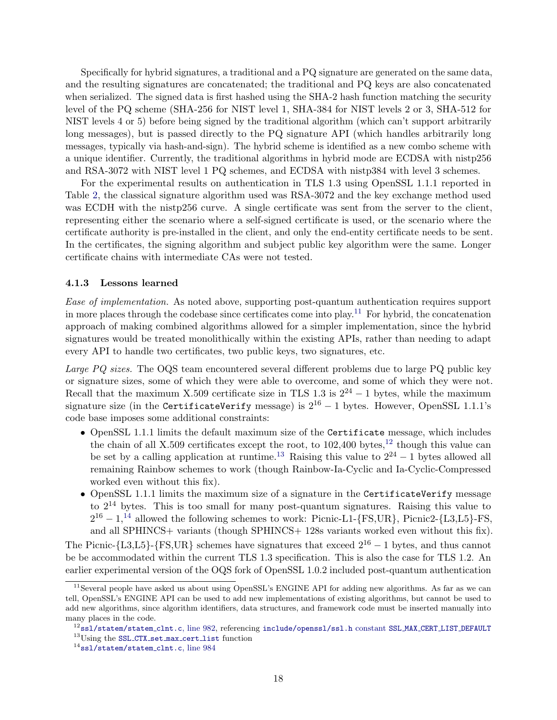Specifically for hybrid signatures, a traditional and a PQ signature are generated on the same data, and the resulting signatures are concatenated; the traditional and PQ keys are also concatenated when serialized. The signed data is first hashed using the SHA-2 hash function matching the security level of the PQ scheme (SHA-256 for NIST level 1, SHA-384 for NIST levels 2 or 3, SHA-512 for NIST levels 4 or 5) before being signed by the traditional algorithm (which can't support arbitrarily long messages), but is passed directly to the PQ signature API (which handles arbitrarily long messages, typically via hash-and-sign). The hybrid scheme is identified as a new combo scheme with a unique identifier. Currently, the traditional algorithms in hybrid mode are ECDSA with nistp256 and RSA-3072 with NIST level 1 PQ schemes, and ECDSA with nistp384 with level 3 schemes.

For the experimental results on authentication in TLS 1.3 using OpenSSL 1.1.1 reported in Table [2,](#page-4-0) the classical signature algorithm used was RSA-3072 and the key exchange method used was ECDH with the nistp256 curve. A single certificate was sent from the server to the client, representing either the scenario where a self-signed certificate is used, or the scenario where the certificate authority is pre-installed in the client, and only the end-entity certificate needs to be sent. In the certificates, the signing algorithm and subject public key algorithm were the same. Longer certificate chains with intermediate CAs were not tested.

#### <span id="page-17-0"></span>4.1.3 Lessons learned

Ease of implementation. As noted above, supporting post-quantum authentication requires support in more places through the codebase since certificates come into play.<sup>[11](#page-17-1)</sup> For hybrid, the concatenation approach of making combined algorithms allowed for a simpler implementation, since the hybrid signatures would be treated monolithically within the existing APIs, rather than needing to adapt every API to handle two certificates, two public keys, two signatures, etc.

Large PQ sizes. The OQS team encountered several different problems due to large PQ public key or signature sizes, some of which they were able to overcome, and some of which they were not. Recall that the maximum X.509 certificate size in TLS 1.3 is  $2^{24} - 1$  bytes, while the maximum signature size (in the CertificateVerify message) is  $2^{16} - 1$  bytes. However, OpenSSL 1.1.1's code base imposes some additional constraints:

- OpenSSL 1.1.1 limits the default maximum size of the Certificate message, which includes the chain of all X.509 certificates except the root, to  $102,400$  bytes,<sup>[12](#page-17-2)</sup> though this value can be set by a calling application at runtime.<sup>[13](#page-17-3)</sup> Raising this value to  $2^{24} - 1$  bytes allowed all remaining Rainbow schemes to work (though Rainbow-Ia-Cyclic and Ia-Cyclic-Compressed worked even without this fix).
- OpenSSL 1.1.1 limits the maximum size of a signature in the CertificateVerify message to  $2^{14}$  bytes. This is too small for many post-quantum signatures. Raising this value to  $2^{16} - 1,14$  $2^{16} - 1,14$  allowed the following schemes to work: Picnic-L1-{FS,UR}, Picnic2-{L3,L5}-FS, and all SPHINCS+ variants (though SPHINCS+ 128s variants worked even without this fix).

The Picnic-{L3,L5}-{FS,UR} schemes have signatures that exceed  $2^{16} - 1$  bytes, and thus cannot be be accommodated within the current TLS 1.3 specification. This is also the case for TLS 1.2. An earlier experimental version of the OQS fork of OpenSSL 1.0.2 included post-quantum authentication

<span id="page-17-1"></span><sup>&</sup>lt;sup>11</sup>Several people have asked us about using OpenSSL's ENGINE API for adding new algorithms. As far as we can tell, OpenSSL's ENGINE API can be used to add new implementations of existing algorithms, but cannot be used to add new algorithms, since algorithm identifiers, data structures, and framework code must be inserted manually into many places in the code.

<span id="page-17-3"></span><span id="page-17-2"></span><sup>&</sup>lt;sup>12</sup>[ssl/statem/statem](https://github.com/open-quantum-safe/openssl/blob/df33b99cebf97cc5c56c4ba6ded50fce51c0c2b9/ssl/statem/statem_clnt.c#L982)\_clnt.c, line 982, referencing [include/openssl/ssl.h](https://github.com/open-quantum-safe/openssl/blob/df33b99cebf97cc5c56c4ba6ded50fce51c0c2b9/include/openssl/ssl.h#L653) constant SSL\_MAX\_CERT\_LIST\_DEFAULT <sup>13</sup>Using the SSL\_CTX\_set\_max\_[cert](https://www.openssl.org/docs/man1.1.1/man3/SSL_CTX_set_max_cert_list.html)\_list function

<span id="page-17-4"></span> $14$ [ssl/statem/statem](https://github.com/open-quantum-safe/openssl/blob/df33b99cebf97cc5c56c4ba6ded50fce51c0c2b9/ssl/statem/statem_clnt.c#L984)\_clnt.c, line 984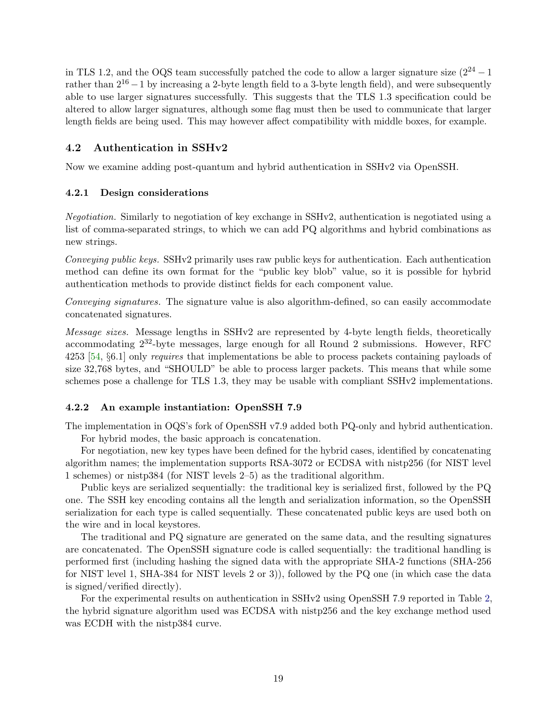in TLS 1.2, and the OQS team successfully patched the code to allow a larger signature size  $(2^{24} - 1$ rather than  $2^{16} - 1$  by increasing a 2-byte length field to a 3-byte length field), and were subsequently able to use larger signatures successfully. This suggests that the TLS 1.3 specification could be altered to allow larger signatures, although some flag must then be used to communicate that larger length fields are being used. This may however affect compatibility with middle boxes, for example.

# 4.2 Authentication in SSHv2

Now we examine adding post-quantum and hybrid authentication in SSHv2 via OpenSSH.

# 4.2.1 Design considerations

Negotiation. Similarly to negotiation of key exchange in SSHv2, authentication is negotiated using a list of comma-separated strings, to which we can add PQ algorithms and hybrid combinations as new strings.

Conveying public keys. SSHv2 primarily uses raw public keys for authentication. Each authentication method can define its own format for the "public key blob" value, so it is possible for hybrid authentication methods to provide distinct fields for each component value.

Conveying signatures. The signature value is also algorithm-defined, so can easily accommodate concatenated signatures.

Message sizes. Message lengths in SSHv2 are represented by 4-byte length fields, theoretically accommodating 232-byte messages, large enough for all Round 2 submissions. However, RFC 4253 [\[54,](#page-23-13) §6.1] only requires that implementations be able to process packets containing payloads of size 32,768 bytes, and "SHOULD" be able to process larger packets. This means that while some schemes pose a challenge for TLS 1.3, they may be usable with compliant SSHv2 implementations.

# 4.2.2 An example instantiation: OpenSSH 7.9

The implementation in OQS's fork of OpenSSH v7.9 added both PQ-only and hybrid authentication.

For hybrid modes, the basic approach is concatenation.

For negotiation, new key types have been defined for the hybrid cases, identified by concatenating algorithm names; the implementation supports RSA-3072 or ECDSA with nistp256 (for NIST level 1 schemes) or nistp384 (for NIST levels 2–5) as the traditional algorithm.

Public keys are serialized sequentially: the traditional key is serialized first, followed by the PQ one. The SSH key encoding contains all the length and serialization information, so the OpenSSH serialization for each type is called sequentially. These concatenated public keys are used both on the wire and in local keystores.

The traditional and PQ signature are generated on the same data, and the resulting signatures are concatenated. The OpenSSH signature code is called sequentially: the traditional handling is performed first (including hashing the signed data with the appropriate SHA-2 functions (SHA-256 for NIST level 1, SHA-384 for NIST levels 2 or 3)), followed by the PQ one (in which case the data is signed/verified directly).

For the experimental results on authentication in SSHv2 using OpenSSH 7.9 reported in Table [2,](#page-4-0) the hybrid signature algorithm used was ECDSA with nistp256 and the key exchange method used was ECDH with the nistp384 curve.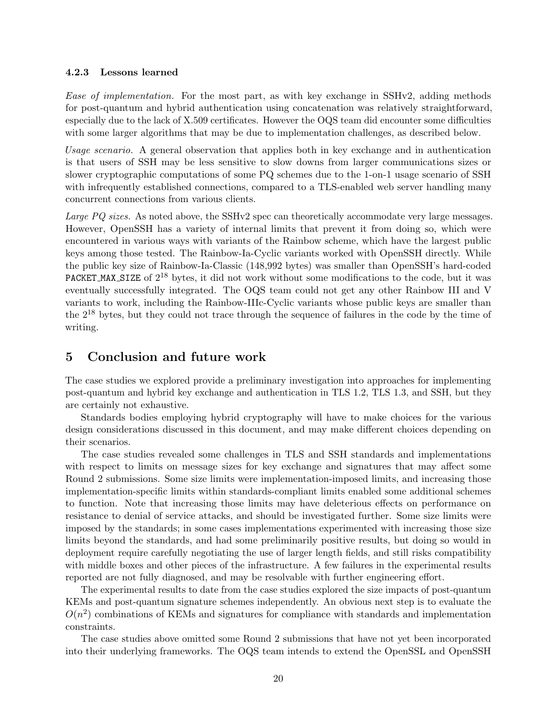### 4.2.3 Lessons learned

Ease of implementation. For the most part, as with key exchange in SSHv2, adding methods for post-quantum and hybrid authentication using concatenation was relatively straightforward, especially due to the lack of X.509 certificates. However the OQS team did encounter some difficulties with some larger algorithms that may be due to implementation challenges, as described below.

Usage scenario. A general observation that applies both in key exchange and in authentication is that users of SSH may be less sensitive to slow downs from larger communications sizes or slower cryptographic computations of some PQ schemes due to the 1-on-1 usage scenario of SSH with infrequently established connections, compared to a TLS-enabled web server handling many concurrent connections from various clients.

Large PQ sizes. As noted above, the SSHv2 spec can theoretically accommodate very large messages. However, OpenSSH has a variety of internal limits that prevent it from doing so, which were encountered in various ways with variants of the Rainbow scheme, which have the largest public keys among those tested. The Rainbow-Ia-Cyclic variants worked with OpenSSH directly. While the public key size of Rainbow-Ia-Classic (148,992 bytes) was smaller than OpenSSH's hard-coded **PACKET MAX SIZE** of  $2^{18}$  bytes, it did not work without some modifications to the code, but it was eventually successfully integrated. The OQS team could not get any other Rainbow III and V variants to work, including the Rainbow-IIIc-Cyclic variants whose public keys are smaller than the 2<sup>18</sup> bytes, but they could not trace through the sequence of failures in the code by the time of writing.

#### 5 Conclusion and future work

The case studies we explored provide a preliminary investigation into approaches for implementing post-quantum and hybrid key exchange and authentication in TLS 1.2, TLS 1.3, and SSH, but they are certainly not exhaustive.

Standards bodies employing hybrid cryptography will have to make choices for the various design considerations discussed in this document, and may make different choices depending on their scenarios.

The case studies revealed some challenges in TLS and SSH standards and implementations with respect to limits on message sizes for key exchange and signatures that may affect some Round 2 submissions. Some size limits were implementation-imposed limits, and increasing those implementation-specific limits within standards-compliant limits enabled some additional schemes to function. Note that increasing those limits may have deleterious effects on performance on resistance to denial of service attacks, and should be investigated further. Some size limits were imposed by the standards; in some cases implementations experimented with increasing those size limits beyond the standards, and had some preliminarily positive results, but doing so would in deployment require carefully negotiating the use of larger length fields, and still risks compatibility with middle boxes and other pieces of the infrastructure. A few failures in the experimental results reported are not fully diagnosed, and may be resolvable with further engineering effort.

The experimental results to date from the case studies explored the size impacts of post-quantum KEMs and post-quantum signature schemes independently. An obvious next step is to evaluate the  $O(n^2)$  combinations of KEMs and signatures for compliance with standards and implementation constraints.

The case studies above omitted some Round 2 submissions that have not yet been incorporated into their underlying frameworks. The OQS team intends to extend the OpenSSL and OpenSSH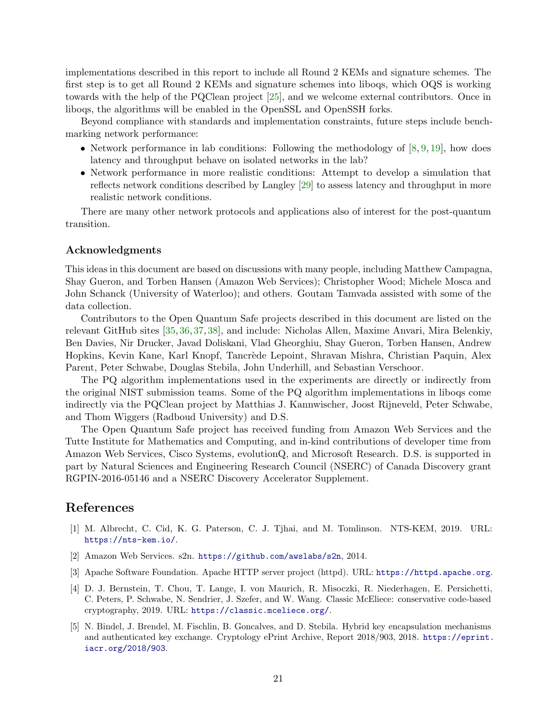implementations described in this report to include all Round 2 KEMs and signature schemes. The first step is to get all Round 2 KEMs and signature schemes into liboqs, which OQS is working towards with the help of the PQClean project [\[25\]](#page-22-11), and we welcome external contributors. Once in liboqs, the algorithms will be enabled in the OpenSSL and OpenSSH forks.

Beyond compliance with standards and implementation constraints, future steps include benchmarking network performance:

- Network performance in lab conditions: Following the methodology of  $[8, 9, 19]$  $[8, 9, 19]$  $[8, 9, 19]$  $[8, 9, 19]$  $[8, 9, 19]$ , how does latency and throughput behave on isolated networks in the lab?
- Network performance in more realistic conditions: Attempt to develop a simulation that reflects network conditions described by Langley [\[29\]](#page-22-12) to assess latency and throughput in more realistic network conditions.

There are many other network protocols and applications also of interest for the post-quantum transition.

# Acknowledgments

This ideas in this document are based on discussions with many people, including Matthew Campagna, Shay Gueron, and Torben Hansen (Amazon Web Services); Christopher Wood; Michele Mosca and John Schanck (University of Waterloo); and others. Goutam Tamvada assisted with some of the data collection.

Contributors to the Open Quantum Safe projects described in this document are listed on the relevant GitHub sites [\[35,](#page-22-19) [36,](#page-22-10) [37,](#page-22-7) [38\]](#page-22-9), and include: Nicholas Allen, Maxime Anvari, Mira Belenkiy, Ben Davies, Nir Drucker, Javad Doliskani, Vlad Gheorghiu, Shay Gueron, Torben Hansen, Andrew Hopkins, Kevin Kane, Karl Knopf, Tancr`ede Lepoint, Shravan Mishra, Christian Paquin, Alex Parent, Peter Schwabe, Douglas Stebila, John Underhill, and Sebastian Verschoor.

The PQ algorithm implementations used in the experiments are directly or indirectly from the original NIST submission teams. Some of the PQ algorithm implementations in liboqs come indirectly via the PQClean project by Matthias J. Kannwischer, Joost Rijneveld, Peter Schwabe, and Thom Wiggers (Radboud University) and D.S.

The Open Quantum Safe project has received funding from Amazon Web Services and the Tutte Institute for Mathematics and Computing, and in-kind contributions of developer time from Amazon Web Services, Cisco Systems, evolutionQ, and Microsoft Research. D.S. is supported in part by Natural Sciences and Engineering Research Council (NSERC) of Canada Discovery grant RGPIN-2016-05146 and a NSERC Discovery Accelerator Supplement.

# References

- <span id="page-20-3"></span>[1] M. Albrecht, C. Cid, K. G. Paterson, C. J. Tjhai, and M. Tomlinson. NTS-KEM, 2019. URL: <https://nts-kem.io/>.
- <span id="page-20-0"></span>[2] Amazon Web Services. s2n. <https://github.com/awslabs/s2n>, 2014.
- <span id="page-20-2"></span>[3] Apache Software Foundation. Apache HTTP server project (httpd). URL: <https://httpd.apache.org>.
- <span id="page-20-4"></span>[4] D. J. Bernstein, T. Chou, T. Lange, I. von Maurich, R. Misoczki, R. Niederhagen, E. Persichetti, C. Peters, P. Schwabe, N. Sendrier, J. Szefer, and W. Wang. Classic McEliece: conservative code-based cryptography, 2019. URL: <https://classic.mceliece.org/>.
- <span id="page-20-1"></span>[5] N. Bindel, J. Brendel, M. Fischlin, B. Goncalves, and D. Stebila. Hybrid key encapsulation mechanisms and authenticated key exchange. Cryptology ePrint Archive, Report 2018/903, 2018. [https://eprint.](https://eprint.iacr.org/2018/903) [iacr.org/2018/903](https://eprint.iacr.org/2018/903).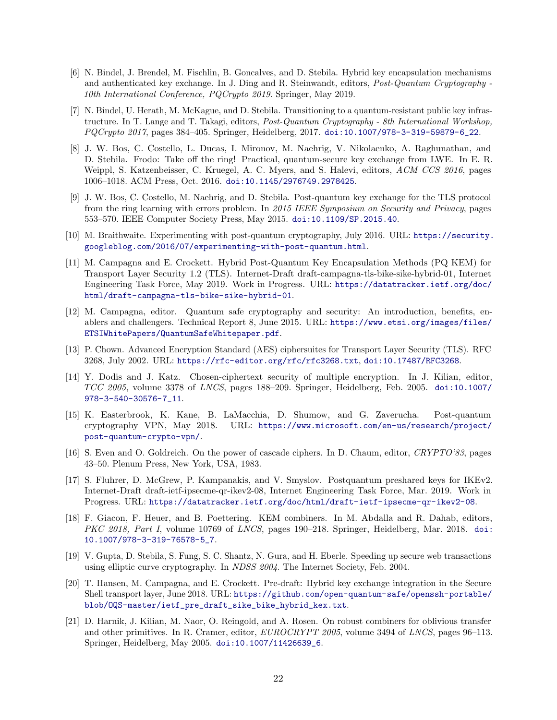- <span id="page-21-11"></span>[6] N. Bindel, J. Brendel, M. Fischlin, B. Goncalves, and D. Stebila. Hybrid key encapsulation mechanisms and authenticated key exchange. In J. Ding and R. Steinwandt, editors, Post-Quantum Cryptography - 10th International Conference, PQCrypto 2019. Springer, May 2019.
- <span id="page-21-12"></span>[7] N. Bindel, U. Herath, M. McKague, and D. Stebila. Transitioning to a quantum-resistant public key infrastructure. In T. Lange and T. Takagi, editors, Post-Quantum Cryptography - 8th International Workshop, PQCrupto 2017, pages 384-405. Springer, Heidelberg, 2017. [doi:10.1007/978-3-319-59879-6\\_22](http://dx.doi.org/10.1007/978-3-319-59879-6_22).
- <span id="page-21-4"></span>[8] J. W. Bos, C. Costello, L. Ducas, I. Mironov, M. Naehrig, V. Nikolaenko, A. Raghunathan, and D. Stebila. Frodo: Take off the ring! Practical, quantum-secure key exchange from LWE. In E. R. Weippl, S. Katzenbeisser, C. Kruegel, A. C. Myers, and S. Halevi, editors, ACM CCS 2016, pages 1006–1018. ACM Press, Oct. 2016. [doi:10.1145/2976749.2978425](http://dx.doi.org/10.1145/2976749.2978425).
- <span id="page-21-5"></span>[9] J. W. Bos, C. Costello, M. Naehrig, and D. Stebila. Post-quantum key exchange for the TLS protocol from the ring learning with errors problem. In 2015 IEEE Symposium on Security and Privacy, pages 553–570. IEEE Computer Society Press, May 2015. [doi:10.1109/SP.2015.40](http://dx.doi.org/10.1109/SP.2015.40).
- <span id="page-21-6"></span>[10] M. Braithwaite. Experimenting with post-quantum cryptography, July 2016. URL: [https://security.](https://security.googleblog.com/2016/07/experimenting-with-post-quantum.html) [googleblog.com/2016/07/experimenting-with-post-quantum.html](https://security.googleblog.com/2016/07/experimenting-with-post-quantum.html).
- <span id="page-21-2"></span>[11] M. Campagna and E. Crockett. Hybrid Post-Quantum Key Encapsulation Methods (PQ KEM) for Transport Layer Security 1.2 (TLS). Internet-Draft draft-campagna-tls-bike-sike-hybrid-01, Internet Engineering Task Force, May 2019. Work in Progress. URL: [https://datatracker.ietf.org/doc/](https://datatracker.ietf.org/doc/html/draft-campagna-tls-bike-sike-hybrid-01) [html/draft-campagna-tls-bike-sike-hybrid-01](https://datatracker.ietf.org/doc/html/draft-campagna-tls-bike-sike-hybrid-01).
- <span id="page-21-1"></span>[12] M. Campagna, editor. Quantum safe cryptography and security: An introduction, benefits, enablers and challengers. Technical Report 8, June 2015. URL: [https://www.etsi.org/images/files/](https://www.etsi.org/images/files/ETSIWhitePapers/QuantumSafeWhitepaper.pdf) [ETSIWhitePapers/QuantumSafeWhitepaper.pdf](https://www.etsi.org/images/files/ETSIWhitePapers/QuantumSafeWhitepaper.pdf).
- <span id="page-21-0"></span>[13] P. Chown. Advanced Encryption Standard (AES) ciphersuites for Transport Layer Security (TLS). RFC 3268, July 2002. URL: <https://rfc-editor.org/rfc/rfc3268.txt>, [doi:10.17487/RFC3268](http://dx.doi.org/10.17487/RFC3268).
- <span id="page-21-8"></span>[14] Y. Dodis and J. Katz. Chosen-ciphertext security of multiple encryption. In J. Kilian, editor, TCC 2005, volume 3378 of LNCS, pages 188–209. Springer, Heidelberg, Feb. 2005. [doi:10.1007/](http://dx.doi.org/10.1007/978-3-540-30576-7_11) [978-3-540-30576-7\\_11](http://dx.doi.org/10.1007/978-3-540-30576-7_11).
- <span id="page-21-13"></span>[15] K. Easterbrook, K. Kane, B. LaMacchia, D. Shumow, and G. Zaverucha. Post-quantum cryptography VPN, May 2018. URL: [https://www.microsoft.com/en-us/research/project/](https://www.microsoft.com/en-us/research/project/post-quantum-crypto-vpn/) [post-quantum-crypto-vpn/](https://www.microsoft.com/en-us/research/project/post-quantum-crypto-vpn/).
- <span id="page-21-7"></span>[16] S. Even and O. Goldreich. On the power of cascade ciphers. In D. Chaum, editor, CRYPTO'83, pages 43–50. Plenum Press, New York, USA, 1983.
- <span id="page-21-3"></span>[17] S. Fluhrer, D. McGrew, P. Kampanakis, and V. Smyslov. Postquantum preshared keys for IKEv2. Internet-Draft draft-ietf-ipsecme-qr-ikev2-08, Internet Engineering Task Force, Mar. 2019. Work in Progress. URL: <https://datatracker.ietf.org/doc/html/draft-ietf-ipsecme-qr-ikev2-08>.
- <span id="page-21-10"></span>[18] F. Giacon, F. Heuer, and B. Poettering. KEM combiners. In M. Abdalla and R. Dahab, editors, PKC 2018, Part I, volume 10769 of LNCS, pages 190–218. Springer, Heidelberg, Mar. 2018. [doi:](http://dx.doi.org/10.1007/978-3-319-76578-5_7) [10.1007/978-3-319-76578-5\\_7](http://dx.doi.org/10.1007/978-3-319-76578-5_7).
- <span id="page-21-15"></span>[19] V. Gupta, D. Stebila, S. Fung, S. C. Shantz, N. Gura, and H. Eberle. Speeding up secure web transactions using elliptic curve cryptography. In NDSS 2004. The Internet Society, Feb. 2004.
- <span id="page-21-14"></span>[20] T. Hansen, M. Campagna, and E. Crockett. Pre-draft: Hybrid key exchange integration in the Secure Shell transport layer, June 2018. URL: [https://github.com/open-quantum-safe/openssh-portable/](https://github.com/open-quantum-safe/openssh-portable/blob/OQS-master/ietf_pre_draft_sike_bike_hybrid_kex.txt) [blob/OQS-master/ietf\\_pre\\_draft\\_sike\\_bike\\_hybrid\\_kex.txt](https://github.com/open-quantum-safe/openssh-portable/blob/OQS-master/ietf_pre_draft_sike_bike_hybrid_kex.txt).
- <span id="page-21-9"></span>[21] D. Harnik, J. Kilian, M. Naor, O. Reingold, and A. Rosen. On robust combiners for oblivious transfer and other primitives. In R. Cramer, editor, EUROCRYPT 2005, volume 3494 of LNCS, pages 96–113. Springer, Heidelberg, May 2005. [doi:10.1007/11426639\\_6](http://dx.doi.org/10.1007/11426639_6).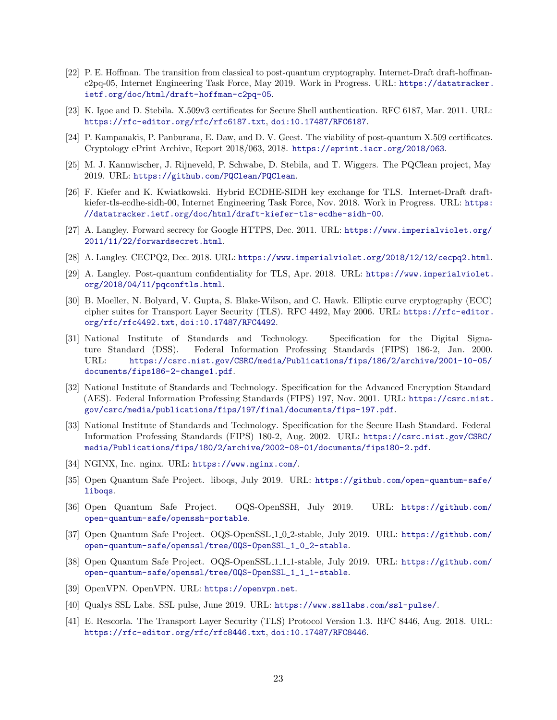- <span id="page-22-5"></span>[22] P. E. Hoffman. The transition from classical to post-quantum cryptography. Internet-Draft draft-hoffmanc2pq-05, Internet Engineering Task Force, May 2019. Work in Progress. URL: [https://datatracker.](https://datatracker.ietf.org/doc/html/draft-hoffman-c2pq-05) [ietf.org/doc/html/draft-hoffman-c2pq-05](https://datatracker.ietf.org/doc/html/draft-hoffman-c2pq-05).
- <span id="page-22-17"></span>[23] K. Igoe and D. Stebila. X.509v3 certificates for Secure Shell authentication. RFC 6187, Mar. 2011. URL: <https://rfc-editor.org/rfc/rfc6187.txt>, [doi:10.17487/RFC6187](http://dx.doi.org/10.17487/RFC6187).
- <span id="page-22-18"></span>[24] P. Kampanakis, P. Panburana, E. Daw, and D. V. Geest. The viability of post-quantum X.509 certificates. Cryptology ePrint Archive, Report 2018/063, 2018. <https://eprint.iacr.org/2018/063>.
- <span id="page-22-11"></span>[25] M. J. Kannwischer, J. Rijneveld, P. Schwabe, D. Stebila, and T. Wiggers. The PQClean project, May 2019. URL: <https://github.com/PQClean/PQClean>.
- <span id="page-22-6"></span>[26] F. Kiefer and K. Kwiatkowski. Hybrid ECDHE-SIDH key exchange for TLS. Internet-Draft draftkiefer-tls-ecdhe-sidh-00, Internet Engineering Task Force, Nov. 2018. Work in Progress. URL: [https:](https://datatracker.ietf.org/doc/html/draft-kiefer-tls-ecdhe-sidh-00) [//datatracker.ietf.org/doc/html/draft-kiefer-tls-ecdhe-sidh-00](https://datatracker.ietf.org/doc/html/draft-kiefer-tls-ecdhe-sidh-00).
- <span id="page-22-3"></span>[27] A. Langley. Forward secrecy for Google HTTPS, Dec. 2011. URL: [https://www.imperialviolet.org/](https://www.imperialviolet.org/2011/11/22/forwardsecret.html) [2011/11/22/forwardsecret.html](https://www.imperialviolet.org/2011/11/22/forwardsecret.html).
- <span id="page-22-8"></span>[28] A. Langley. CECPQ2, Dec. 2018. URL: <https://www.imperialviolet.org/2018/12/12/cecpq2.html>.
- <span id="page-22-12"></span>[29] A. Langley. Post-quantum confidentiality for TLS, Apr. 2018. URL: [https://www.imperialviolet.](https://www.imperialviolet.org/2018/04/11/pqconftls.html) [org/2018/04/11/pqconftls.html](https://www.imperialviolet.org/2018/04/11/pqconftls.html).
- <span id="page-22-2"></span>[30] B. Moeller, N. Bolyard, V. Gupta, S. Blake-Wilson, and C. Hawk. Elliptic curve cryptography (ECC) cipher suites for Transport Layer Security (TLS). RFC 4492, May 2006. URL: [https://rfc-editor.](https://rfc-editor.org/rfc/rfc4492.txt) [org/rfc/rfc4492.txt](https://rfc-editor.org/rfc/rfc4492.txt), [doi:10.17487/RFC4492](http://dx.doi.org/10.17487/RFC4492).
- <span id="page-22-1"></span>[31] National Institute of Standards and Technology. Specification for the Digital Signature Standard (DSS). Federal Information Professing Standards (FIPS) 186-2, Jan. 2000. URL: [https://csrc.nist.gov/CSRC/media/Publications/fips/186/2/archive/2001-10-05/](https://csrc.nist.gov/CSRC/media/Publications/fips/186/2/archive/2001-10-05/documents/fips186-2-change1.pdf) [documents/fips186-2-change1.pdf](https://csrc.nist.gov/CSRC/media/Publications/fips/186/2/archive/2001-10-05/documents/fips186-2-change1.pdf).
- <span id="page-22-0"></span>[32] National Institute of Standards and Technology. Specification for the Advanced Encryption Standard (AES). Federal Information Professing Standards (FIPS) 197, Nov. 2001. URL: [https://csrc.nist.](https://csrc.nist.gov/csrc/media/publications/fips/197/final/documents/fips-197.pdf) [gov/csrc/media/publications/fips/197/final/documents/fips-197.pdf](https://csrc.nist.gov/csrc/media/publications/fips/197/final/documents/fips-197.pdf).
- <span id="page-22-4"></span>[33] National Institute of Standards and Technology. Specification for the Secure Hash Standard. Federal Information Professing Standards (FIPS) 180-2, Aug. 2002. URL: [https://csrc.nist.gov/CSRC/](https://csrc.nist.gov/CSRC/media/Publications/fips/180/2/archive/2002-08-01/documents/fips180-2.pdf) [media/Publications/fips/180/2/archive/2002-08-01/documents/fips180-2.pdf](https://csrc.nist.gov/CSRC/media/Publications/fips/180/2/archive/2002-08-01/documents/fips180-2.pdf).
- <span id="page-22-16"></span>[34] NGINX, Inc. nginx. URL: <https://www.nginx.com/>.
- <span id="page-22-19"></span>[35] Open Quantum Safe Project. liboqs, July 2019. URL: [https://github.com/open-quantum-safe/](https://github.com/open-quantum-safe/liboqs) [liboqs](https://github.com/open-quantum-safe/liboqs).
- <span id="page-22-10"></span>[36] Open Quantum Safe Project. OQS-OpenSSH, July 2019. URL: [https://github.com/](https://github.com/open-quantum-safe/openssh-portable) [open-quantum-safe/openssh-portable](https://github.com/open-quantum-safe/openssh-portable).
- <span id="page-22-7"></span>[37] Open Quantum Safe Project. OQS-OpenSSL 1 0 2-stable, July 2019. URL: [https://github.com/](https://github.com/open-quantum-safe/openssl/tree/OQS-OpenSSL_1_0_2-stable) [open-quantum-safe/openssl/tree/OQS-OpenSSL\\_1\\_0\\_2-stable](https://github.com/open-quantum-safe/openssl/tree/OQS-OpenSSL_1_0_2-stable).
- <span id="page-22-9"></span>[38] Open Quantum Safe Project. OQS-OpenSSL1111-stable, July 2019. URL: [https://github.com/](https://github.com/open-quantum-safe/openssl/tree/OQS-OpenSSL_1_1_1-stable) [open-quantum-safe/openssl/tree/OQS-OpenSSL\\_1\\_1\\_1-stable](https://github.com/open-quantum-safe/openssl/tree/OQS-OpenSSL_1_1_1-stable).
- <span id="page-22-14"></span>[39] OpenVPN. OpenVPN. URL: <https://openvpn.net>.
- <span id="page-22-13"></span>[40] Qualys SSL Labs. SSL pulse, June 2019. URL: <https://www.ssllabs.com/ssl-pulse/>.
- <span id="page-22-15"></span>[41] E. Rescorla. The Transport Layer Security (TLS) Protocol Version 1.3. RFC 8446, Aug. 2018. URL: <https://rfc-editor.org/rfc/rfc8446.txt>, [doi:10.17487/RFC8446](http://dx.doi.org/10.17487/RFC8446).